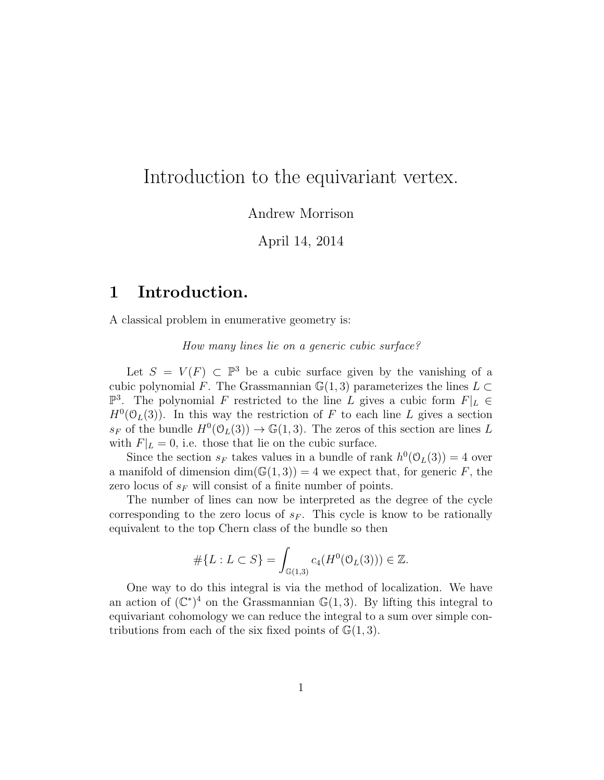# Introduction to the equivariant vertex.

Andrew Morrison

April 14, 2014

### 1 Introduction.

A classical problem in enumerative geometry is:

How many lines lie on a generic cubic surface?

Let  $S = V(F) \subset \mathbb{P}^3$  be a cubic surface given by the vanishing of a cubic polynomial F. The Grassmannian  $\mathbb{G}(1,3)$  parameterizes the lines  $L \subset$  $\mathbb{P}^3$ . The polynomial F restricted to the line L gives a cubic form  $F|_L \in$  $H^0(\mathcal{O}_L(3))$ . In this way the restriction of F to each line L gives a section  $s_F$  of the bundle  $H^0(\mathcal{O}_L(3)) \to \mathbb{G}(1,3)$ . The zeros of this section are lines L with  $F|_L = 0$ , i.e. those that lie on the cubic surface.

Since the section  $s_F$  takes values in a bundle of rank  $h^0(\mathcal{O}_L(3)) = 4$  over a manifold of dimension  $\dim(\mathbb{G}(1,3)) = 4$  we expect that, for generic F, the zero locus of  $s_F$  will consist of a finite number of points.

The number of lines can now be interpreted as the degree of the cycle corresponding to the zero locus of  $s_F$ . This cycle is know to be rationally equivalent to the top Chern class of the bundle so then

$$
\# \{ L : L \subset S \} = \int_{\mathbb{G}(1,3)} c_4(H^0(\mathcal{O}_L(3))) \in \mathbb{Z}.
$$

One way to do this integral is via the method of localization. We have an action of  $(\mathbb{C}^*)^4$  on the Grassmannian  $\mathbb{G}(1,3)$ . By lifting this integral to equivariant cohomology we can reduce the integral to a sum over simple contributions from each of the six fixed points of  $\mathbb{G}(1,3)$ .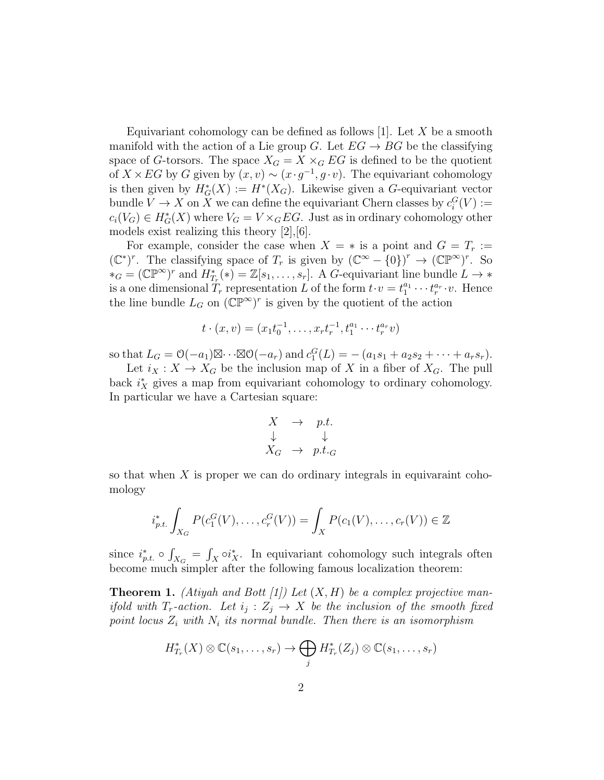Equivariant cohomology can be defined as follows  $[1]$ . Let X be a smooth manifold with the action of a Lie group G. Let  $EG \rightarrow BG$  be the classifying space of G-torsors. The space  $X_G = X \times_G EG$  is defined to be the quotient of  $X \times EG$  by G given by  $(x, v) \sim (x \cdot g^{-1}, g \cdot v)$ . The equivariant cohomology is then given by  $H^*_G(X) := H^*(X_G)$ . Likewise given a G-equivariant vector bundle  $V \to X$  on X we can define the equivariant Chern classes by  $c_i^G(V) :=$  $c_i(V_G) \in H^*_G(X)$  where  $V_G = V \times_G EG$ . Just as in ordinary cohomology other models exist realizing this theory [2],[6].

For example, consider the case when  $X = *$  is a point and  $G = T_r :=$  $(\mathbb{C}^*)^r$ . The classifying space of  $T_r$  is given by  $(\mathbb{C}^{\infty} - \{0\})^r$  →  $(\mathbb{C}^{\mathbb{P}^{\infty}})^r$ . So  $*_G = (\mathbb{CP}^{\infty})^r$  and  $H^*_{T_r}(*) = \mathbb{Z}[s_1,\ldots,s_r]$ . A G-equivariant line bundle  $L \to *$ is a one dimensional  $T_r$  representation L of the form  $t \cdot v = t_1^{a_1} \cdots t_r^{a_r} \cdot v$ . Hence the line bundle  $L_G$  on  $(\mathbb{CP}^\infty)^r$  is given by the quotient of the action

$$
t \cdot (x, v) = (x_1 t_0^{-1}, \dots, x_r t_r^{-1}, t_1^{a_1} \cdots t_r^{a_r} v)
$$

so that  $L_G = \mathcal{O}(-a_1) \boxtimes \cdots \boxtimes \mathcal{O}(-a_r)$  and  $c_1^G(L) = -(a_1s_1 + a_2s_2 + \cdots + a_r s_r)$ .

Let  $i_X : X \to X_G$  be the inclusion map of X in a fiber of  $X_G$ . The pull back  $i_X^*$  gives a map from equivariant cohomology to ordinary cohomology. In particular we have a Cartesian square:

$$
X \rightarrow p.t. \n\downarrow \qquad \downarrow \nX_G \rightarrow p.t._G
$$

so that when  $X$  is proper we can do ordinary integrals in equivaraint cohomology

$$
i_{p.t.}^* \int_{X_G} P(c_1^G(V), \dots, c_r^G(V)) = \int_X P(c_1(V), \dots, c_r(V)) \in \mathbb{Z}
$$

since  $i_{p.t.}^* \circ \int_{X_G} = \int_X \circ i_X^*$ . In equivariant cohomology such integrals often become much simpler after the following famous localization theorem:

**Theorem 1.** (Atiyah and Bott [1]) Let  $(X, H)$  be a complex projective manif old with  $T_r$ -action. Let  $i_j : Z_j \to X$  be the inclusion of the smooth fixed point locus  $Z_i$  with  $N_i$  its normal bundle. Then there is an isomorphism

$$
H_{T_r}^*(X) \otimes \mathbb{C}(s_1,\ldots,s_r) \to \bigoplus_j H_{T_r}^*(Z_j) \otimes \mathbb{C}(s_1,\ldots,s_r)
$$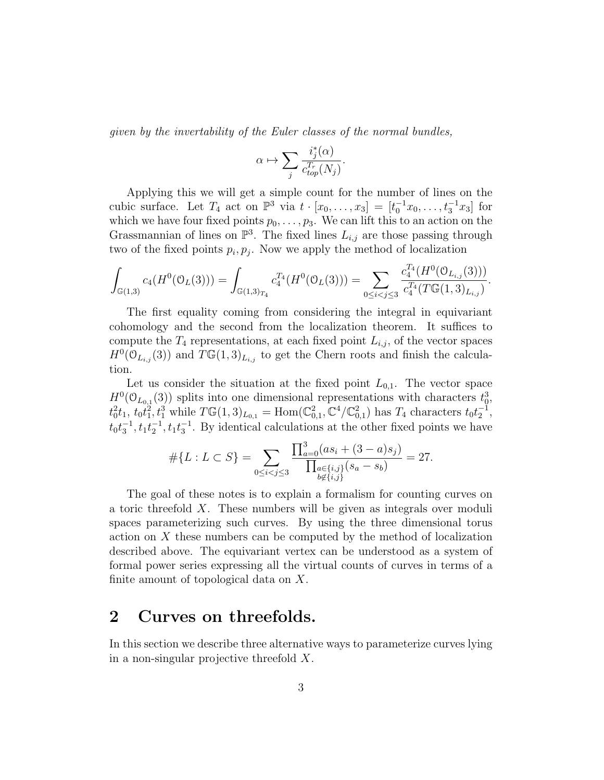given by the invertability of the Euler classes of the normal bundles,

$$
\alpha \mapsto \sum_j \frac{i_j^*(\alpha)}{c_{top}^{T_r}(N_j)}.
$$

Applying this we will get a simple count for the number of lines on the cubic surface. Let  $T_4$  act on  $\mathbb{P}^3$  via  $t \cdot [x_0, ..., x_3] = [t_0^{-1}x_0, ..., t_3^{-1}x_3]$  for which we have four fixed points  $p_0, \ldots, p_3$ . We can lift this to an action on the Grassmannian of lines on  $\mathbb{P}^3$ . The fixed lines  $L_{i,j}$  are those passing through two of the fixed points  $p_i, p_j$ . Now we apply the method of localization

$$
\int_{\mathbb{G}(1,3)} c_4(H^0(\mathbb{O}_L(3))) = \int_{\mathbb{G}(1,3)_{T_4}} c_4^{T_4}(H^0(\mathbb{O}_L(3))) = \sum_{0 \le i < j \le 3} \frac{c_4^{T_4}(H^0(\mathbb{O}_{L_{i,j}}(3)))}{c_4^{T_4}(T\mathbb{G}(1,3)_{L_{i,j}})}.
$$

The first equality coming from considering the integral in equivariant cohomology and the second from the localization theorem. It suffices to compute the  $T_4$  representations, at each fixed point  $L_{i,j}$ , of the vector spaces  $H^0(\mathcal{O}_{L_{i,j}}(3))$  and  $T\mathbb{G}(1,3)_{L_{i,j}}$  to get the Chern roots and finish the calculation.

Let us consider the situation at the fixed point  $L_{0,1}$ . The vector space  $H^0(\mathcal{O}_{L_{0,1}}(3))$  splits into one dimensional representations with characters  $t_0^3$ ,  $t_0^2 t_1, t_0 t_1^2, t_1^3$  while  $T\mathbb{G}(1, 3)_{L_{0,1}} = \text{Hom}(\mathbb{C}^2_{0,1}, \mathbb{C}^4/\mathbb{C}^2_{0,1})$  has  $T_4$  characters  $t_0 t_2^{-1}$ ,  $t_0 t_3^{-1}, t_1 t_2^{-1}, t_1 t_3^{-1}$ . By identical calculations at the other fixed points we have

$$
#{L: L \subset S} = \sum_{0 \le i < j \le 3} \frac{\prod_{a=0}^{3} (as_i + (3-a)s_j)}{\prod_{\substack{a \in \{i,j\} \\ b \notin \{i,j\}}} (s_a - s_b)} = 27.
$$

The goal of these notes is to explain a formalism for counting curves on a toric threefold X. These numbers will be given as integrals over moduli spaces parameterizing such curves. By using the three dimensional torus action on X these numbers can be computed by the method of localization described above. The equivariant vertex can be understood as a system of formal power series expressing all the virtual counts of curves in terms of a finite amount of topological data on X.

### 2 Curves on threefolds.

In this section we describe three alternative ways to parameterize curves lying in a non-singular projective threefold X.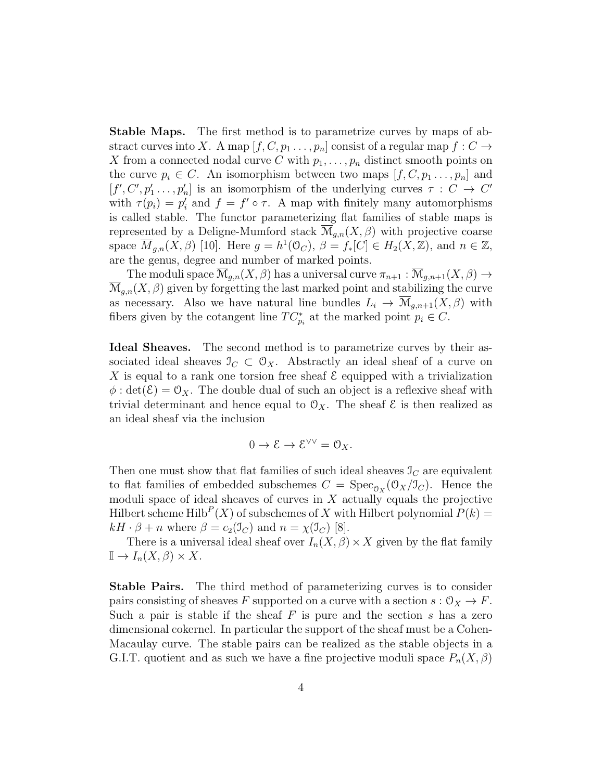Stable Maps. The first method is to parametrize curves by maps of abstract curves into X. A map  $[f, C, p_1 \ldots, p_n]$  consist of a regular map  $f: C \rightarrow$ X from a connected nodal curve C with  $p_1, \ldots, p_n$  distinct smooth points on the curve  $p_i \in C$ . An isomorphism between two maps  $[f, C, p_1, \ldots, p_n]$  and  $[f', C', p'_1, \ldots, p'_n]$  is an isomorphism of the underlying curves  $\tau : C \to C'$ with  $\tau(p_i) = p'_i$  and  $f = f' \circ \tau$ . A map with finitely many automorphisms is called stable. The functor parameterizing flat families of stable maps is represented by a Deligne-Mumford stack  $\overline{\mathcal{M}}_{q,n}(X,\beta)$  with projective coarse space  $\overline{M}_{g,n}(X,\beta)$  [10]. Here  $g=h^1(\mathcal{O}_C)$ ,  $\beta=f_*[C]\in H_2(X,\mathbb{Z})$ , and  $n\in\mathbb{Z}$ , are the genus, degree and number of marked points.

The moduli space  $\overline{\mathcal{M}}_{g,n}(X,\beta)$  has a universal curve  $\pi_{n+1} : \overline{\mathcal{M}}_{g,n+1}(X,\beta) \to$  $\mathcal{M}_{g,n}(X,\beta)$  given by forgetting the last marked point and stabilizing the curve as necessary. Also we have natural line bundles  $L_i \to \mathcal{M}_{g,n+1}(X,\beta)$  with fibers given by the cotangent line  $TC_{p_i}^*$  at the marked point  $p_i \in C$ .

Ideal Sheaves. The second method is to parametrize curves by their associated ideal sheaves  $\mathcal{I}_C \subset \mathcal{O}_X$ . Abstractly an ideal sheaf of a curve on X is equal to a rank one torsion free sheaf  $\mathcal E$  equipped with a trivialization  $\phi$ : det( $\mathcal{E}$ ) =  $\mathcal{O}_X$ . The double dual of such an object is a reflexive sheaf with trivial determinant and hence equal to  $\mathcal{O}_X$ . The sheaf  $\mathcal E$  is then realized as an ideal sheaf via the inclusion

$$
0 \to \mathcal{E} \to \mathcal{E}^{\vee \vee} = \mathcal{O}_X.
$$

Then one must show that flat families of such ideal sheaves  $\mathcal{I}_C$  are equivalent to flat families of embedded subschemes  $C = \text{Spec}_{\mathcal{O}_X}(\mathcal{O}_X/\mathcal{I}_C)$ . Hence the moduli space of ideal sheaves of curves in  $X$  actually equals the projective Hilbert scheme Hilb<sup>P</sup>(X) of subschemes of X with Hilbert polynomial  $P(k)$  =  $kH \cdot \beta + n$  where  $\beta = c_2(\mathbb{J}_C)$  and  $n = \chi(\mathbb{J}_C)$  [8].

There is a universal ideal sheaf over  $I_n(X, \beta) \times X$  given by the flat family  $\mathbb{I} \to I_n(X,\beta) \times X$ .

**Stable Pairs.** The third method of parameterizing curves is to consider pairs consisting of sheaves F supported on a curve with a section  $s : \mathcal{O}_X \to F$ . Such a pair is stable if the sheaf  $F$  is pure and the section  $s$  has a zero dimensional cokernel. In particular the support of the sheaf must be a Cohen-Macaulay curve. The stable pairs can be realized as the stable objects in a G.I.T. quotient and as such we have a fine projective moduli space  $P_n(X,\beta)$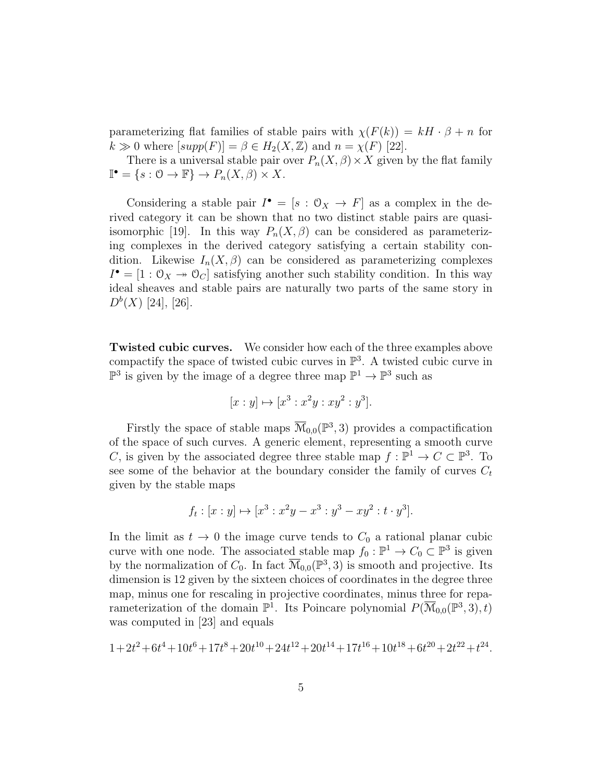parameterizing flat families of stable pairs with  $\chi(F(k)) = kH \cdot \beta + n$  for  $k \gg 0$  where  $[supp(F)] = \beta \in H_2(X, \mathbb{Z})$  and  $n = \chi(F)$  [22].

There is a universal stable pair over  $P_n(X, \beta) \times X$  given by the flat family  $\mathbb{I}^{\bullet} = \{s : \mathcal{O} \to \mathbb{F}\} \to P_n(X, \beta) \times X.$ 

Considering a stable pair  $I^{\bullet} = [s : \mathcal{O}_X \to F]$  as a complex in the derived category it can be shown that no two distinct stable pairs are quasiisomorphic [19]. In this way  $P_n(X, \beta)$  can be considered as parameterizing complexes in the derived category satisfying a certain stability condition. Likewise  $I_n(X, \beta)$  can be considered as parameterizing complexes  $I^{\bullet} = [1: \mathbb{O}_X \rightarrow \mathbb{O}_C]$  satisfying another such stability condition. In this way ideal sheaves and stable pairs are naturally two parts of the same story in  $D^{b}(X)$  [24], [26].

Twisted cubic curves. We consider how each of the three examples above compactify the space of twisted cubic curves in  $\mathbb{P}^3$ . A twisted cubic curve in  $\mathbb{P}^3$  is given by the image of a degree three map  $\mathbb{P}^1 \to \mathbb{P}^3$  such as

$$
[x:y] \mapsto [x^3:x^2y:xy^2:y^3].
$$

Firstly the space of stable maps  $\overline{\mathcal{M}}_{0,0}(\mathbb{P}^3,3)$  provides a compactification of the space of such curves. A generic element, representing a smooth curve C, is given by the associated degree three stable map  $f : \mathbb{P}^1 \to C \subset \mathbb{P}^3$ . To see some of the behavior at the boundary consider the family of curves  $C_t$ given by the stable maps

$$
f_t : [x : y] \mapsto [x^3 : x^2y - x^3 : y^3 - xy^2 : t \cdot y^3].
$$

In the limit as  $t \to 0$  the image curve tends to  $C_0$  a rational planar cubic curve with one node. The associated stable map  $f_0: \mathbb{P}^1 \to C_0 \subset \mathbb{P}^3$  is given by the normalization of  $C_0$ . In fact  $\overline{\mathcal{M}}_{0,0}(\mathbb{P}^3,3)$  is smooth and projective. Its dimension is 12 given by the sixteen choices of coordinates in the degree three map, minus one for rescaling in projective coordinates, minus three for reparameterization of the domain  $\mathbb{P}^1$ . Its Poincare polynomial  $P(\overline{\mathcal{M}}_{0,0}(\mathbb{P}^3,3),t)$ was computed in [23] and equals

$$
1+2t^2+6t^4+10t^6+17t^8+20t^{10}+24t^{12}+20t^{14}+17t^{16}+10t^{18}+6t^{20}+2t^{22}+t^{24}.
$$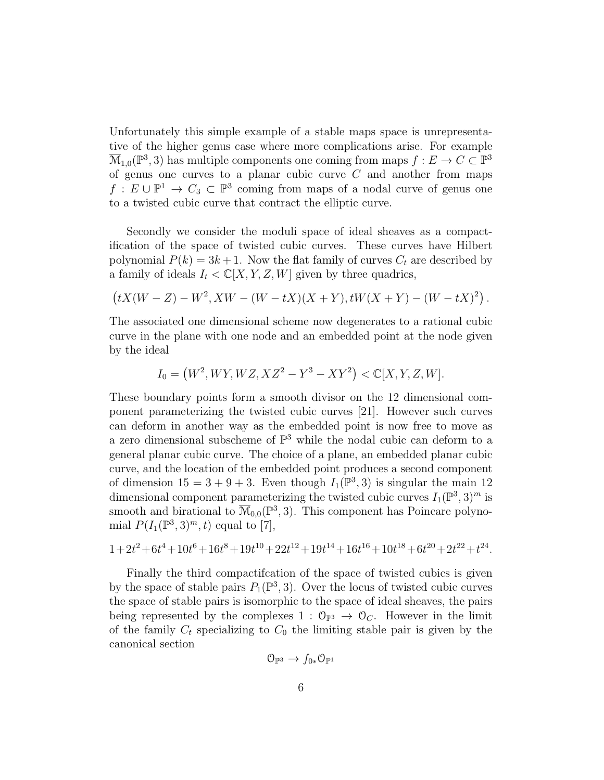Unfortunately this simple example of a stable maps space is unrepresentative of the higher genus case where more complications arise. For example  $\overline{\mathcal{M}}_{1,0}(\mathbb{P}^3,3)$  has multiple components one coming from maps  $f: E \to C \subset \mathbb{P}^3$ of genus one curves to a planar cubic curve  $C$  and another from maps  $f: E \cup \mathbb{P}^1 \to C_3 \subset \mathbb{P}^3$  coming from maps of a nodal curve of genus one to a twisted cubic curve that contract the elliptic curve.

Secondly we consider the moduli space of ideal sheaves as a compactification of the space of twisted cubic curves. These curves have Hilbert polynomial  $P(k) = 3k + 1$ . Now the flat family of curves  $C_t$  are described by a family of ideals  $I_t < \mathbb{C}[X, Y, Z, W]$  given by three quadrics,

$$
(tX(W - Z) - W^2, XW - (W - tX)(X + Y), tW(X + Y) - (W - tX)^2).
$$

The associated one dimensional scheme now degenerates to a rational cubic curve in the plane with one node and an embedded point at the node given by the ideal

$$
I_0 = (W^2, WY, WZ, XZ^2 - Y^3 - XY^2) < \mathbb{C}[X, Y, Z, W].
$$

These boundary points form a smooth divisor on the 12 dimensional component parameterizing the twisted cubic curves [21]. However such curves can deform in another way as the embedded point is now free to move as a zero dimensional subscheme of  $\mathbb{P}^3$  while the nodal cubic can deform to a general planar cubic curve. The choice of a plane, an embedded planar cubic curve, and the location of the embedded point produces a second component of dimension  $15 = 3 + 9 + 3$ . Even though  $I_1(\mathbb{P}^3, 3)$  is singular the main 12 dimensional component parameterizing the twisted cubic curves  $I_1(\mathbb{P}^3,3)^m$  is smooth and birational to  $\overline{\mathcal{M}}_{0,0}(\mathbb{P}^3,3)$ . This component has Poincare polynomial  $P(I_1(\mathbb{P}^3,3)^m,t)$  equal to [7],

$$
1+2t^2+6t^4+10t^6+16t^8+19t^{10}+22t^{12}+19t^{14}+16t^{16}+10t^{18}+6t^{20}+2t^{22}+t^{24}.
$$

Finally the third compactifcation of the space of twisted cubics is given by the space of stable pairs  $P_1(\mathbb{P}^3,3)$ . Over the locus of twisted cubic curves the space of stable pairs is isomorphic to the space of ideal sheaves, the pairs being represented by the complexes  $1 : \mathcal{O}_{\mathbb{P}^3} \to \mathcal{O}_C$ . However in the limit of the family  $C_t$  specializing to  $C_0$  the limiting stable pair is given by the canonical section

$$
\mathcal{O}_{\mathbb{P}^3} \to f_{0*}\mathcal{O}_{\mathbb{P}^1}
$$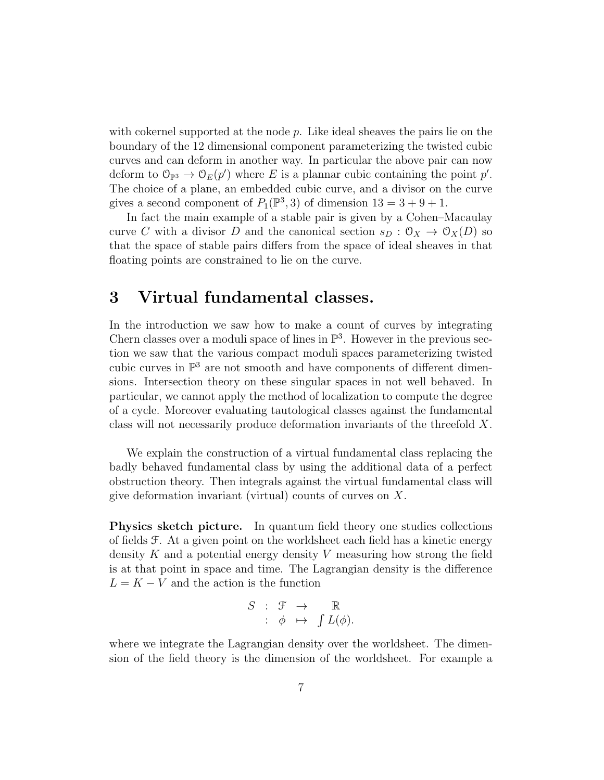with cokernel supported at the node  $p$ . Like ideal sheaves the pairs lie on the boundary of the 12 dimensional component parameterizing the twisted cubic curves and can deform in another way. In particular the above pair can now deform to  $\mathcal{O}_{\mathbb{P}^3} \to \mathcal{O}_E(p')$  where E is a plannar cubic containing the point p'. The choice of a plane, an embedded cubic curve, and a divisor on the curve gives a second component of  $P_1(\mathbb{P}^3,3)$  of dimension  $13 = 3 + 9 + 1$ .

In fact the main example of a stable pair is given by a Cohen–Macaulay curve C with a divisor D and the canonical section  $s_D : \mathcal{O}_X \to \mathcal{O}_X(D)$  so that the space of stable pairs differs from the space of ideal sheaves in that floating points are constrained to lie on the curve.

### 3 Virtual fundamental classes.

In the introduction we saw how to make a count of curves by integrating Chern classes over a moduli space of lines in  $\mathbb{P}^3$ . However in the previous section we saw that the various compact moduli spaces parameterizing twisted cubic curves in  $\mathbb{P}^3$  are not smooth and have components of different dimensions. Intersection theory on these singular spaces in not well behaved. In particular, we cannot apply the method of localization to compute the degree of a cycle. Moreover evaluating tautological classes against the fundamental class will not necessarily produce deformation invariants of the threefold X.

We explain the construction of a virtual fundamental class replacing the badly behaved fundamental class by using the additional data of a perfect obstruction theory. Then integrals against the virtual fundamental class will give deformation invariant (virtual) counts of curves on X.

Physics sketch picture. In quantum field theory one studies collections of fields F. At a given point on the worldsheet each field has a kinetic energy density  $K$  and a potential energy density  $V$  measuring how strong the field is at that point in space and time. The Lagrangian density is the difference  $L = K - V$  and the action is the function

$$
S : \mathcal{F} \rightarrow \mathbb{R}
$$
  

$$
: \phi \mapsto \int L(\phi).
$$

where we integrate the Lagrangian density over the worldsheet. The dimension of the field theory is the dimension of the worldsheet. For example a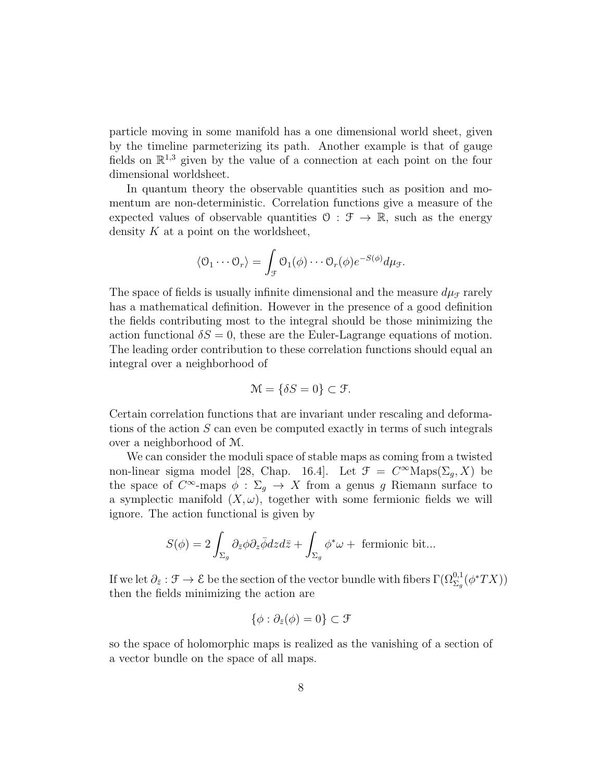particle moving in some manifold has a one dimensional world sheet, given by the timeline parmeterizing its path. Another example is that of gauge fields on  $\mathbb{R}^{1,3}$  given by the value of a connection at each point on the four dimensional worldsheet.

In quantum theory the observable quantities such as position and momentum are non-deterministic. Correlation functions give a measure of the expected values of observable quantities  $\mathcal{O}: \mathcal{F} \to \mathbb{R}$ , such as the energy density  $K$  at a point on the worldsheet,

$$
\langle \mathcal{O}_1 \cdots \mathcal{O}_r \rangle = \int_{\mathcal{F}} \mathcal{O}_1(\phi) \cdots \mathcal{O}_r(\phi) e^{-S(\phi)} d\mu_{\mathcal{F}}.
$$

The space of fields is usually infinite dimensional and the measure  $d\mu<sub>F</sub>$  rarely has a mathematical definition. However in the presence of a good definition the fields contributing most to the integral should be those minimizing the action functional  $\delta S = 0$ , these are the Euler-Lagrange equations of motion. The leading order contribution to these correlation functions should equal an integral over a neighborhood of

$$
\mathcal{M} = \{ \delta S = 0 \} \subset \mathcal{F}.
$$

Certain correlation functions that are invariant under rescaling and deformations of the action S can even be computed exactly in terms of such integrals over a neighborhood of M.

We can consider the moduli space of stable maps as coming from a twisted non-linear sigma model [28, Chap. 16.4]. Let  $\mathcal{F} = C^{\infty} \text{Maps}(\Sigma_g, X)$  be the space of  $C^{\infty}$ -maps  $\phi : \Sigma_g \to X$  from a genus g Riemann surface to a symplectic manifold  $(X, \omega)$ , together with some fermionic fields we will ignore. The action functional is given by

$$
S(\phi) = 2 \int_{\Sigma_g} \partial_{\bar{z}} \phi \partial_z \bar{\phi} dz d\bar{z} + \int_{\Sigma_g} \phi^* \omega + \text{ fermionic bit}...
$$

If we let  $\partial_{\bar{z}}: \mathcal{F} \to \mathcal{E}$  be the section of the vector bundle with fibers  $\Gamma(\Omega_{\Sigma_g}^{0,1}(\phi^*TX))$ then the fields minimizing the action are

$$
\{\phi : \partial_{\bar{z}}(\phi) = 0\} \subset \mathcal{F}
$$

so the space of holomorphic maps is realized as the vanishing of a section of a vector bundle on the space of all maps.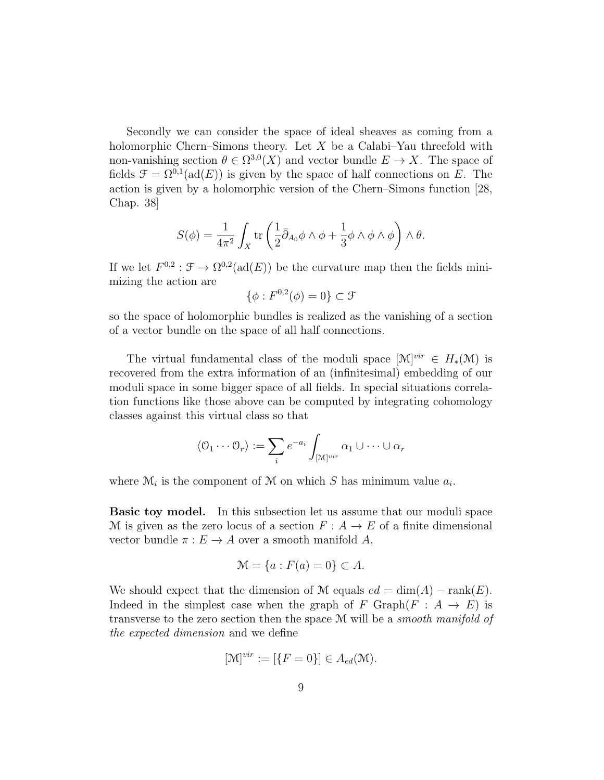Secondly we can consider the space of ideal sheaves as coming from a holomorphic Chern–Simons theory. Let  $X$  be a Calabi–Yau threefold with non-vanishing section  $\theta \in \Omega^{3,0}(X)$  and vector bundle  $E \to X$ . The space of fields  $\mathcal{F} = \Omega^{0,1}(\text{ad}(E))$  is given by the space of half connections on E. The action is given by a holomorphic version of the Chern–Simons function [28, Chap. 38]

$$
S(\phi) = \frac{1}{4\pi^2} \int_X \text{tr}\left(\frac{1}{2}\bar{\partial}_{A_0}\phi \wedge \phi + \frac{1}{3}\phi \wedge \phi \wedge \phi\right) \wedge \theta.
$$

If we let  $F^{0,2} : \mathcal{F} \to \Omega^{0,2}(\text{ad}(E))$  be the curvature map then the fields minimizing the action are

$$
\{\phi: F^{0,2}(\phi) = 0\} \subset \mathcal{F}
$$

so the space of holomorphic bundles is realized as the vanishing of a section of a vector bundle on the space of all half connections.

The virtual fundamental class of the moduli space  $[\mathcal{M}]^{vir} \in H_*(\mathcal{M})$  is recovered from the extra information of an (infinitesimal) embedding of our moduli space in some bigger space of all fields. In special situations correlation functions like those above can be computed by integrating cohomology classes against this virtual class so that

$$
\langle \mathcal{O}_1 \cdots \mathcal{O}_r \rangle := \sum_i e^{-a_i} \int_{[\mathbb{M}]^{vir}} \alpha_1 \cup \cdots \cup \alpha_r
$$

where  $\mathcal{M}_i$  is the component of  $\mathcal M$  on which S has minimum value  $a_i$ .

Basic toy model. In this subsection let us assume that our moduli space M is given as the zero locus of a section  $F: A \to E$  of a finite dimensional vector bundle  $\pi : E \to A$  over a smooth manifold A,

$$
\mathcal{M} = \{a : F(a) = 0\} \subset A.
$$

We should expect that the dimension of M equals  $ed = \dim(A) - \text{rank}(E)$ . Indeed in the simplest case when the graph of F Graph( $F : A \rightarrow E$ ) is transverse to the zero section then the space M will be a smooth manifold of the expected dimension and we define

$$
[\mathcal{M}]^{vir} := [\{F = 0\}] \in A_{ed}(\mathcal{M}).
$$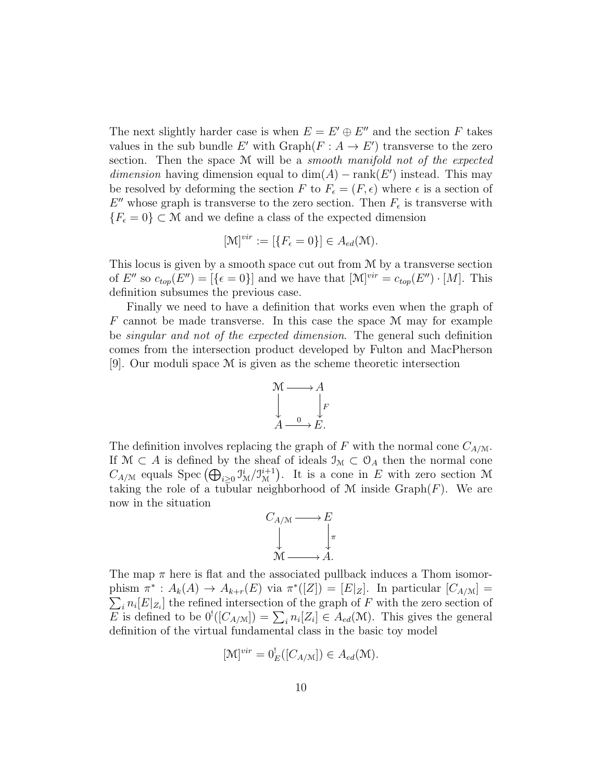The next slightly harder case is when  $E = E' \oplus E''$  and the section F takes values in the sub bundle E' with  $\mathrm{Graph}(F : A \to E')$  transverse to the zero section. Then the space M will be a *smooth manifold not of the expected dimension* having dimension equal to  $dim(A) - rank(E')$  instead. This may be resolved by deforming the section F to  $F_{\epsilon} = (F, \epsilon)$  where  $\epsilon$  is a section of  $E''$  whose graph is transverse to the zero section. Then  $F_{\epsilon}$  is transverse with  ${F_{\epsilon}=0} \subset \mathcal{M}$  and we define a class of the expected dimension

$$
[\mathcal{M}]^{vir} := [\{F_{\epsilon} = 0\}] \in A_{ed}(\mathcal{M}).
$$

This locus is given by a smooth space cut out from M by a transverse section of E'' so  $c_{top}(E'') = [\{\epsilon = 0\}]$  and we have that  $[\mathcal{M}]^{vir} = c_{top}(E'') \cdot [M]$ . This definition subsumes the previous case.

Finally we need to have a definition that works even when the graph of  $F$  cannot be made transverse. In this case the space  $\mathcal M$  may for example be singular and not of the expected dimension. The general such definition comes from the intersection product developed by Fulton and MacPherson [9]. Our moduli space M is given as the scheme theoretic intersection



The definition involves replacing the graph of F with the normal cone  $C_{A/M}$ . If  $\mathcal{M} \subset A$  is defined by the sheaf of ideals  $\mathcal{I}_{\mathcal{M}} \subset \mathcal{O}_A$  then the normal cone  $C_{A/\mathcal{M}}$  equals Spec  $\left(\bigoplus_{i\geq 0} \mathfrak{I}_{\mathcal{M}}^{i}/\mathfrak{I}_{\mathcal{M}}^{i+1}\right)$  $\mathcal{M}_{\mathcal{M}}^{i+1}$ . It is a cone in E with zero section M taking the role of a tubular neighborhood of  $M$  inside  $\mathrm{Graph}(F)$ . We are now in the situation



The map  $\pi$  here is flat and the associated pullback induces a Thom isomorphism  $\pi^*: A_k(A) \to A_{k+r}(E)$  via  $\pi^*([Z]) = [E|_Z]$ . In particular  $[C_{A/M}] =$  $\sum_i n_i [E|_{Z_i}]$  the refined intersection of the graph of F with the zero section of E is defined to be  $0^!([C_{A/\mathcal{M}}]) = \sum_i n_i [Z_i] \in A_{ed}(\mathcal{M})$ . This gives the general definition of the virtual fundamental class in the basic toy model

$$
[\mathcal{M}]^{vir} = 0_E^!([C_{A/\mathcal{M}}]) \in A_{ed}(\mathcal{M}).
$$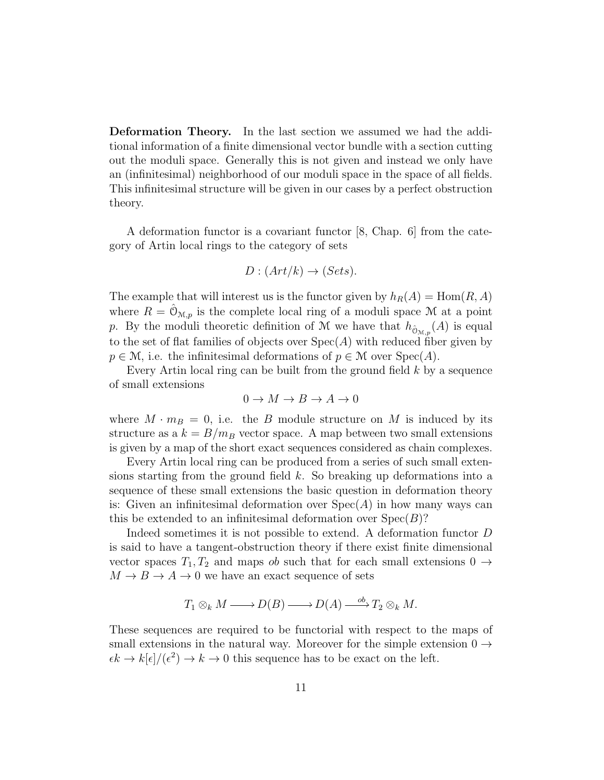Deformation Theory. In the last section we assumed we had the additional information of a finite dimensional vector bundle with a section cutting out the moduli space. Generally this is not given and instead we only have an (infinitesimal) neighborhood of our moduli space in the space of all fields. This infinitesimal structure will be given in our cases by a perfect obstruction theory.

A deformation functor is a covariant functor [8, Chap. 6] from the category of Artin local rings to the category of sets

$$
D: (Art/k) \to (Sets).
$$

The example that will interest us is the functor given by  $h_R(A) = \text{Hom}(R, A)$ where  $R = \mathcal{O}_{\mathcal{M},p}$  is the complete local ring of a moduli space M at a point p. By the moduli theoretic definition of M we have that  $h_{\hat{O}_{M,p}}(A)$  is equal to the set of flat families of objects over  $Spec(A)$  with reduced fiber given by  $p \in \mathcal{M}$ , i.e. the infinitesimal deformations of  $p \in \mathcal{M}$  over  $Spec(A)$ .

Every Artin local ring can be built from the ground field  $k$  by a sequence of small extensions

$$
0 \to M \to B \to A \to 0
$$

where  $M \cdot m_B = 0$ , i.e. the B module structure on M is induced by its structure as a  $k = B/m_B$  vector space. A map between two small extensions is given by a map of the short exact sequences considered as chain complexes.

Every Artin local ring can be produced from a series of such small extensions starting from the ground field  $k$ . So breaking up deformations into a sequence of these small extensions the basic question in deformation theory is: Given an infinitesimal deformation over  $Spec(A)$  in how many ways can this be extended to an infinitesimal deformation over  $Spec(B)$ ?

Indeed sometimes it is not possible to extend. A deformation functor D is said to have a tangent-obstruction theory if there exist finite dimensional vector spaces  $T_1, T_2$  and maps ob such that for each small extensions  $0 \rightarrow$  $M \to B \to A \to 0$  we have an exact sequence of sets

$$
T_1 \otimes_k M \longrightarrow D(B) \longrightarrow D(A) \xrightarrow{\quad \text{ob}} T_2 \otimes_k M.
$$

These sequences are required to be functorial with respect to the maps of small extensions in the natural way. Moreover for the simple extension  $0 \rightarrow$  $\epsilon k \to k[\epsilon]/(\epsilon^2) \to k \to 0$  this sequence has to be exact on the left.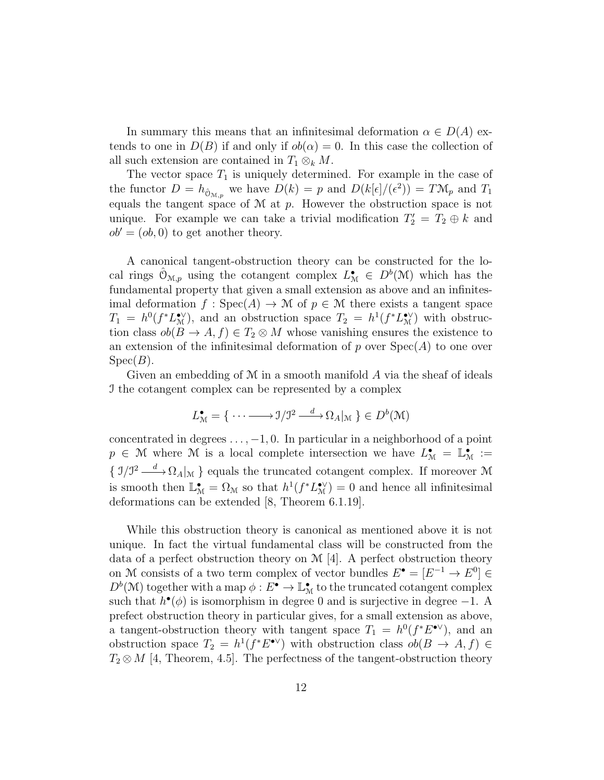In summary this means that an infinitesimal deformation  $\alpha \in D(A)$  extends to one in  $D(B)$  if and only if  $ob(\alpha) = 0$ . In this case the collection of all such extension are contained in  $T_1 \otimes_k M$ .

The vector space  $T_1$  is uniquely determined. For example in the case of the functor  $D = h_{\hat{O}_{M,p}}$  we have  $D(k) = p$  and  $D(k[\epsilon]/(\epsilon^2)) = T \mathcal{M}_p$  and  $T_1$ equals the tangent space of  $M$  at  $p$ . However the obstruction space is not unique. For example we can take a trivial modification  $T_2' = T_2 \oplus k$  and  $ob' = (ob, 0)$  to get another theory.

A canonical tangent-obstruction theory can be constructed for the local rings  $\hat{\mathcal{O}}_{\mathcal{M},p}$  using the cotangent complex  $L^{\bullet}_{\mathcal{M}} \in D^b(\mathcal{M})$  which has the fundamental property that given a small extension as above and an infinitesimal deformation  $f : \text{Spec}(A) \to \mathcal{M}$  of  $p \in \mathcal{M}$  there exists a tangent space  $T_1 = h^0(f^*L_{\mathcal{M}}^{\bullet\vee})$ , and an obstruction space  $T_2 = h^1(f^*L_{\mathcal{M}}^{\bullet\vee})$  with obstruction class  $ob(B \to A, f) \in T_2 \otimes M$  whose vanishing ensures the existence to an extension of the infinitesimal deformation of p over  $Spec(A)$  to one over  $Spec(B).$ 

Given an embedding of  $M$  in a smooth manifold  $\tilde{A}$  via the sheaf of ideals I the cotangent complex can be represented by a complex

$$
L^{\bullet}_{\mathcal{M}} = \{ \cdots \longrightarrow \mathbf{I}/\mathbf{I}^2 \xrightarrow{d} \Omega_A |_{\mathcal{M}} \} \in D^b(\mathcal{M})
$$

concentrated in degrees  $\dots$ ,  $-1$ , 0. In particular in a neighborhood of a point  $p \in \mathcal{M}$  where M is a local complete intersection we have  $L^{\bullet}_{\mathcal{M}} = \mathbb{L}^{\bullet}_{\mathcal{M}} :=$  $\{ \mathcal{I}/\mathcal{I}^2 \longrightarrow \Omega_A |_{\mathcal{M}} \}$  equals the truncated cotangent complex. If moreover M is smooth then  $\mathbb{L}^{\bullet}_{\mathcal{M}} = \Omega_{\mathcal{M}}$  so that  $h^1(f^*L^{\bullet\vee}_{\mathcal{M}}) = 0$  and hence all infinitesimal deformations can be extended [8, Theorem 6.1.19].

While this obstruction theory is canonical as mentioned above it is not unique. In fact the virtual fundamental class will be constructed from the data of a perfect obstruction theory on M [4]. A perfect obstruction theory on M consists of a two term complex of vector bundles  $E^{\bullet} = [E^{-1} \to E^{0}] \in$  $D^b(\mathcal{M})$  together with a map  $\phi: E^{\bullet} \to \mathbb{L}^{\bullet}_{\mathcal{M}}$  to the truncated cotangent complex such that  $h^{\bullet}(\phi)$  is isomorphism in degree 0 and is surjective in degree -1. A prefect obstruction theory in particular gives, for a small extension as above, a tangent-obstruction theory with tangent space  $T_1 = h^0(f^*E^{\bullet \vee})$ , and an obstruction space  $T_2 = h^1(f^*E^{\bullet \vee})$  with obstruction class  $ob(B \to A, f) \in$  $T_2 \otimes M$  [4, Theorem, 4.5]. The perfectness of the tangent-obstruction theory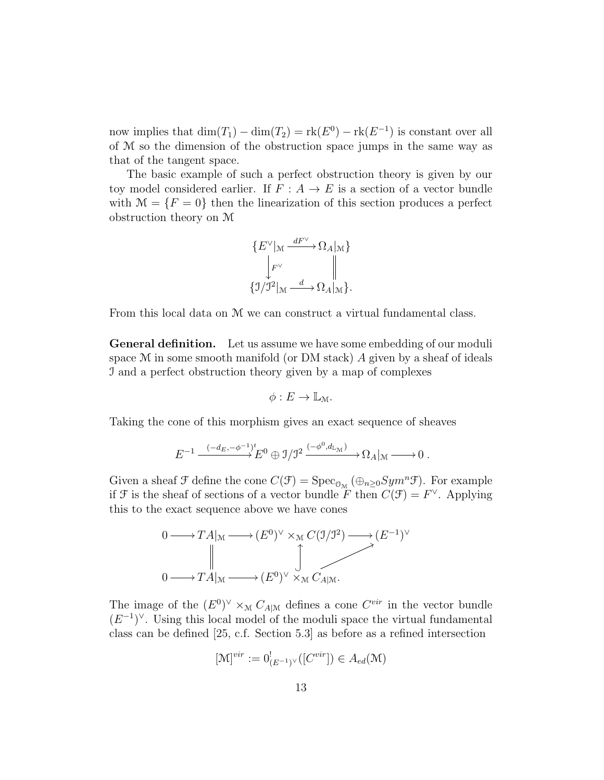now implies that  $\dim(T_1) - \dim(T_2) = \text{rk}(E^0) - \text{rk}(E^{-1})$  is constant over all of M so the dimension of the obstruction space jumps in the same way as that of the tangent space.

The basic example of such a perfect obstruction theory is given by our toy model considered earlier. If  $F : A \to E$  is a section of a vector bundle with  $\mathcal{M} = \{F = 0\}$  then the linearization of this section produces a perfect obstruction theory on M

$$
\{E^\vee|_{\mathcal{M}} \xrightarrow{dF^\vee} \Omega_A|_{\mathcal{M}}\}
$$

$$
\downarrow_{F^\vee}^{\downarrow F^\vee} \qquad \qquad \parallel
$$

$$
\{ \mathcal{I}/\mathcal{I}^2|_{\mathcal{M}} \xrightarrow{d} \Omega_A|_{\mathcal{M}} \}.
$$

From this local data on M we can construct a virtual fundamental class.

General definition. Let us assume we have some embedding of our moduli space  $M$  in some smooth manifold (or DM stack)  $\ddot{A}$  given by a sheaf of ideals I and a perfect obstruction theory given by a map of complexes

$$
\phi: E \to \mathbb{L}_{\mathcal{M}}.
$$

Taking the cone of this morphism gives an exact sequence of sheaves

$$
E^{-1}\xrightarrow{(-d_E,-\phi^{-1})^t} E^0\oplus \mathbb{J}/\mathbb{J}^2\xrightarrow{(-\phi^0,d_{\mathbb{L}_{\mathcal{M}}})}\Omega_A|_{\mathbb{M}}\xrightarrow{\qquad} 0\;.
$$

Given a sheaf  $\mathcal F$  define the cone  $C(\mathcal F) = \text{Spec}_{\mathcal O_M}(\bigoplus_{n\geq 0}Sym^n \mathcal F)$ . For example if F is the sheaf of sections of a vector bundle  $\overline{F}$  then  $C(\mathcal{F}) = F^{\vee}$ . Applying this to the exact sequence above we have cones



The image of the  $(E^0)^{\vee} \times_M C_{A|M}$  defines a cone  $C^{vir}$  in the vector bundle  $(E^{-1})^{\vee}$ . Using this local model of the moduli space the virtual fundamental class can be defined [25, c.f. Section 5.3] as before as a refined intersection

$$
[\mathcal{M}]^{vir} := 0^!_{(E^{-1})^{\vee}}([C^{vir}]) \in A_{ed}(\mathcal{M})
$$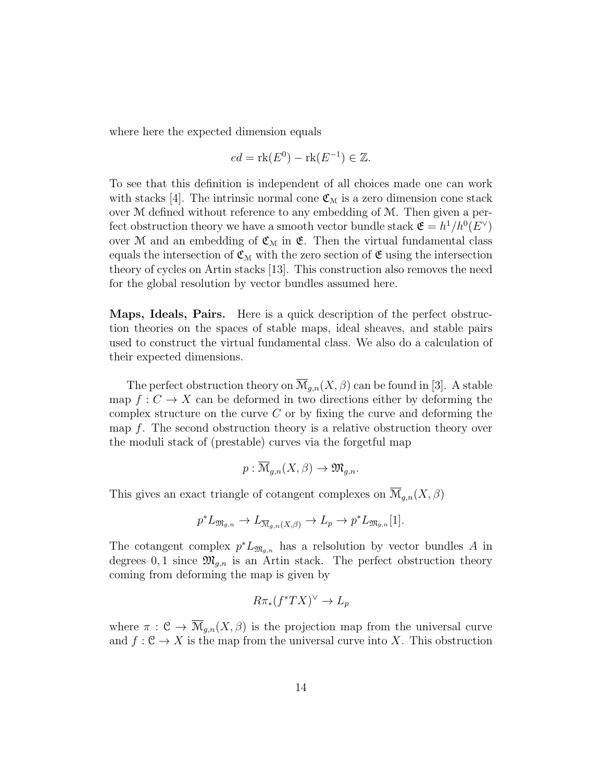where here the expected dimension equals

$$
ed = \text{rk}(E^0) - \text{rk}(E^{-1}) \in \mathbb{Z}.
$$

To see that this definition is independent of all choices made one can work with stacks [4]. The intrinsic normal cone  $\mathfrak{C}_{\mathfrak{M}}$  is a zero dimension cone stack over M defined without reference to any embedding of M. Then given a perfect obstruction theory we have a smooth vector bundle stack  $\mathfrak{E} = h^1/h^0(E^{\vee})$ over M and an embedding of  $\mathfrak{C}_M$  in  $\mathfrak{E}$ . Then the virtual fundamental class equals the intersection of  $\mathfrak{C}_M$  with the zero section of  $\mathfrak{C}$  using the intersection theory of cycles on Artin stacks [13]. This construction also removes the need for the global resolution by vector bundles assumed here.

Maps, Ideals, Pairs. Here is a quick description of the perfect obstruction theories on the spaces of stable maps, ideal sheaves, and stable pairs used to construct the virtual fundamental class. We also do a calculation of their expected dimensions.

The perfect obstruction theory on  $\overline{\mathcal{M}}_{q,n}(X,\beta)$  can be found in [3]. A stable map  $f: C \to X$  can be deformed in two directions either by deforming the complex structure on the curve  $C$  or by fixing the curve and deforming the map f. The second obstruction theory is a relative obstruction theory over the moduli stack of (prestable) curves via the forgetful map

$$
p: \overline{\mathcal{M}}_{g,n}(X,\beta) \to \mathfrak{M}_{g,n}.
$$

This gives an exact triangle of cotangent complexes on  $\overline{\mathcal{M}}_{g,n}(X,\beta)$ 

$$
p^* L_{\mathfrak{M}_{g,n}} \to L_{\overline{\mathcal{M}}_{g,n}(X,\beta)} \to L_p \to p^* L_{\mathfrak{M}_{g,n}}[1].
$$

The cotangent complex  $p^*L_{\mathfrak{M}_{g,n}}$  has a relsolution by vector bundles A in degrees 0, 1 since  $\mathfrak{M}_{g,n}$  is an Artin stack. The perfect obstruction theory coming from deforming the map is given by

$$
R\pi_*(f^*TX)^\vee \to L_p
$$

where  $\pi : \mathcal{C} \to \overline{\mathcal{M}}_{q,n}(X,\beta)$  is the projection map from the universal curve and  $f: \mathcal{C} \to X$  is the map from the universal curve into X. This obstruction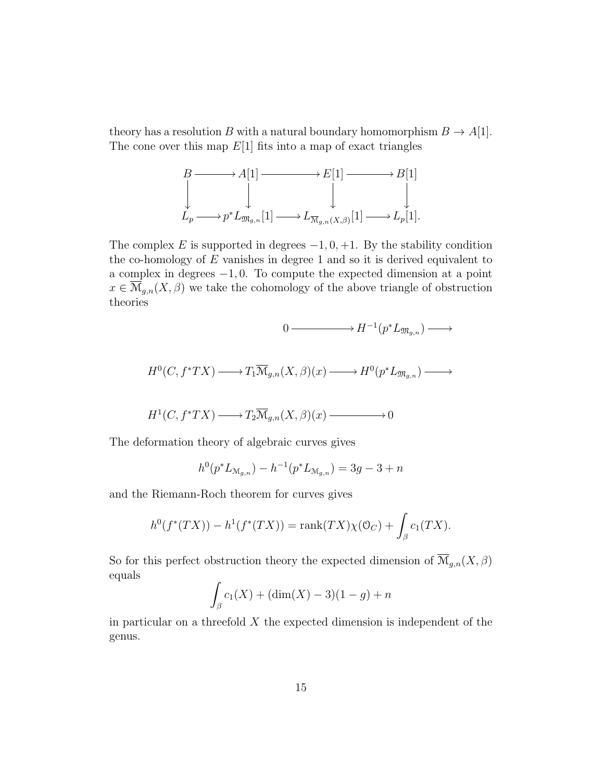theory has a resolution B with a natural boundary homomorphism  $B \to A[1]$ . The cone over this map  $E[1]$  fits into a map of exact triangles

$$
B \longrightarrow A[1] \longrightarrow E[1] \longrightarrow B[1]
$$
  

$$
\downarrow \qquad \qquad \downarrow \qquad \qquad \downarrow
$$
  

$$
L_p \longrightarrow p^* L_{\mathfrak{M}_{g,n}}[1] \longrightarrow L_{\overline{\mathfrak{M}}_{g,n}(X,\beta)}[1] \longrightarrow L_p[1].
$$

The complex E is supported in degrees  $-1, 0, +1$ . By the stability condition the co-homology of  $E$  vanishes in degree 1 and so it is derived equivalent to a complex in degrees −1, 0. To compute the expected dimension at a point  $x \in \overline{\mathcal{M}}_{g,n}(X,\beta)$  we take the cohomology of the above triangle of obstruction theories

$$
0 \longrightarrow H^{-1}(p^*L_{\mathfrak{M}_{g,n}}) \longrightarrow
$$

$$
H^0(C, f^*TX) \longrightarrow T_1\overline{\mathcal{M}}_{g,n}(X, \beta)(x) \longrightarrow H^0(p^*L_{\mathfrak{M}_{g,n}}) \longrightarrow
$$

$$
H^1(C, f^*TX) \longrightarrow T_2\overline{\mathcal{M}}_{g,n}(X,\beta)(x) \longrightarrow 0
$$

The deformation theory of algebraic curves gives

$$
h^{0}(p^{*}L_{\mathcal{M}_{g,n}}) - h^{-1}(p^{*}L_{\mathcal{M}_{g,n}}) = 3g - 3 + n
$$

and the Riemann-Roch theorem for curves gives

$$
h^{0}(f^{*}(TX)) - h^{1}(f^{*}(TX)) = \text{rank}(TX)\chi(\mathfrak{O}_{C}) + \int_{\beta} c_{1}(TX).
$$

So for this perfect obstruction theory the expected dimension of  $\overline{\mathcal{M}}_{g,n}(X,\beta)$ equals

$$
\int_{\beta} c_1(X) + (\dim(X) - 3)(1 - g) + n
$$

in particular on a threefold  $X$  the expected dimension is independent of the genus.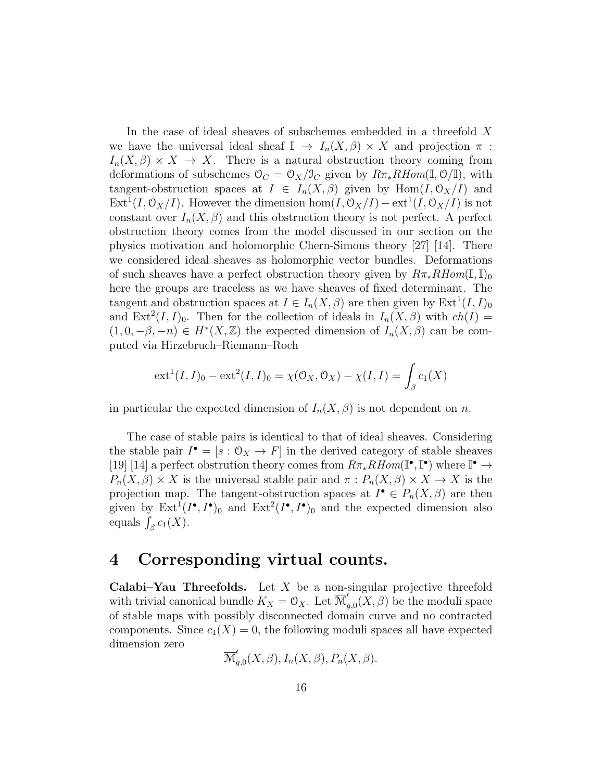In the case of ideal sheaves of subschemes embedded in a threefold  $X$ we have the universal ideal sheaf  $\mathbb{I} \to I_n(X,\beta) \times X$  and projection  $\pi$ :  $I_n(X,\beta) \times X \to X$ . There is a natural obstruction theory coming from deformations of subschemes  $\mathcal{O}_C = \mathcal{O}_X/\mathcal{I}_C$  given by  $R\pi_* RHom(\mathbb{I}, \mathcal{O}/\mathbb{I})$ , with tangent-obstruction spaces at  $I \in I_n(X,\beta)$  given by  $\text{Hom}(I,\mathcal{O}_X/I)$  and  $\text{Ext}^1(I, \mathcal{O}_X/I)$ . However the dimension  $\text{hom}(I, \mathcal{O}_X/I) - \text{ext}^1(I, \mathcal{O}_X/I)$  is not constant over  $I_n(X, \beta)$  and this obstruction theory is not perfect. A perfect obstruction theory comes from the model discussed in our section on the physics motivation and holomorphic Chern-Simons theory [27] [14]. There we considered ideal sheaves as holomorphic vector bundles. Deformations of such sheaves have a perfect obstruction theory given by  $R\pi_*RHom(\mathbb{I},\mathbb{I})_0$ here the groups are traceless as we have sheaves of fixed determinant. The tangent and obstruction spaces at  $I \in I_n(X, \beta)$  are then given by  $\text{Ext}^1(I, I)_0$ and  $Ext^2(I, I)_0$ . Then for the collection of ideals in  $I_n(X, \beta)$  with  $ch(I)$  $(1,0,-\beta,-n) \in H^*(X,\mathbb{Z})$  the expected dimension of  $I_n(X,\beta)$  can be computed via Hirzebruch–Riemann–Roch

$$
ext^{1}(I, I)_{0} - ext^{2}(I, I)_{0} = \chi(\mathcal{O}_{X}, \mathcal{O}_{X}) - \chi(I, I) = \int_{\beta} c_{1}(X)
$$

in particular the expected dimension of  $I_n(X, \beta)$  is not dependent on n.

The case of stable pairs is identical to that of ideal sheaves. Considering the stable pair  $I^{\bullet} = [s : 0_X \to F]$  in the derived category of stable sheaves [19] [14] a perfect obstrution theory comes from  $R\pi_* RHom(\mathbb{I}^\bullet, \mathbb{I}^\bullet)$  where  $\mathbb{I}^\bullet \to$  $P_n(X, \beta) \times X$  is the universal stable pair and  $\pi : P_n(X, \beta) \times X \to X$  is the projection map. The tangent-obstruction spaces at  $I^{\bullet} \in P_n(X, \beta)$  are then given by  $\text{Ext}^1(I^{\bullet}, I^{\bullet})_0$  and  $\text{Ext}^2(I^{\bullet}, I^{\bullet})_0$  and the expected dimension also equals  $\int_{\beta} c_1(X)$ .

## 4 Corresponding virtual counts.

Calabi–Yau Threefolds. Let  $X$  be a non-singular projective threefold with trivial canonical bundle  $K_X = \mathcal{O}_X$ . Let  $\overline{\mathcal{M}}'_c$  $\mathcal{L}_{g,0}(X,\beta)$  be the moduli space of stable maps with possibly disconnected domain curve and no contracted components. Since  $c_1(X) = 0$ , the following moduli spaces all have expected dimension zero

$$
\overline{\mathcal{M}}'_{g,0}(X,\beta), I_n(X,\beta), P_n(X,\beta).
$$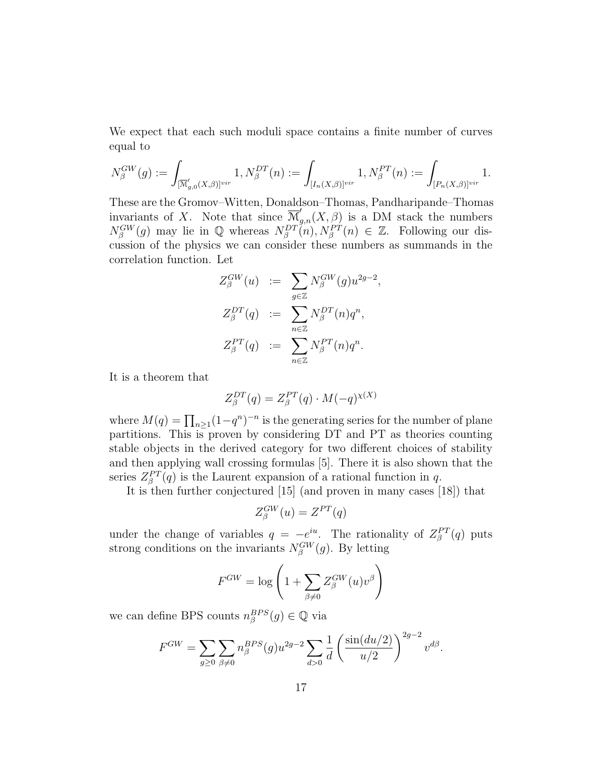We expect that each such moduli space contains a finite number of curves equal to

$$
N_{\beta}^{GW}(g) := \int_{[\overline{\mathcal{M}}'_{g,0}(X,\beta)]^{vir}} 1, N_{\beta}^{DT}(n) := \int_{[I_n(X,\beta)]^{vir}} 1, N_{\beta}^{PT}(n) := \int_{[P_n(X,\beta)]^{vir}} 1.
$$

These are the Gromov–Witten, Donaldson–Thomas, Pandharipande–Thomas invariants of X. Note that since  $\overline{\mathcal{M}}'_{g,n}(X,\beta)$  is a DM stack the numbers  $N_\beta^{GW}(g)$  may lie in Q whereas  $N_\beta^{DT}(n)$ ,  $N_\beta^{PT}(n) \in \mathbb{Z}$ . Following our discussion of the physics we can consider these numbers as summands in the correlation function. Let

$$
Z_{\beta}^{GW}(u) \quad := \quad \sum_{g \in \mathbb{Z}} N_{\beta}^{GW}(g) u^{2g-2},
$$

$$
Z_{\beta}^{DT}(q) \quad := \quad \sum_{n \in \mathbb{Z}} N_{\beta}^{DT}(n) q^{n},
$$

$$
Z_{\beta}^{PT}(q) \quad := \quad \sum_{n \in \mathbb{Z}} N_{\beta}^{PT}(n) q^{n}.
$$

It is a theorem that

$$
Z_{\beta}^{DT}(q) = Z_{\beta}^{PT}(q) \cdot M(-q)^{\chi(X)}
$$

where  $M(q) = \prod_{n \geq 1} (1 - q^n)^{-n}$  is the generating series for the number of plane partitions. This is proven by considering DT and PT as theories counting stable objects in the derived category for two different choices of stability and then applying wall crossing formulas [5]. There it is also shown that the series  $Z_{\beta}^{PT}(q)$  is the Laurent expansion of a rational function in q.

It is then further conjectured [15] (and proven in many cases [18]) that

$$
Z_{\beta}^{GW}(u) = Z^{PT}(q)
$$

under the change of variables  $q = -e^{iu}$ . The rationality of  $Z_{\beta}^{PT}(q)$  puts strong conditions on the invariants  $N_{\beta}^{GW}(g)$ . By letting

$$
F^{GW} = \log \left( 1 + \sum_{\beta \neq 0} Z_{\beta}^{GW}(u) v^{\beta} \right)
$$

we can define BPS counts  $n_{\beta}^{BPS}(g) \in \mathbb{Q}$  via

$$
F^{GW} = \sum_{g \ge 0} \sum_{\beta \ne 0} n_{\beta}^{BPS}(g) u^{2g-2} \sum_{d>0} \frac{1}{d} \left( \frac{\sin(du/2)}{u/2} \right)^{2g-2} v^{d\beta}.
$$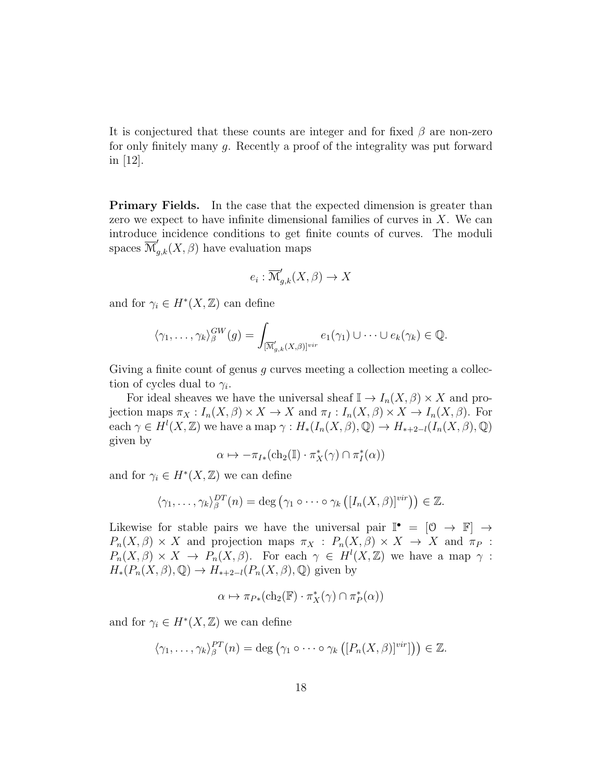It is conjectured that these counts are integer and for fixed  $\beta$  are non-zero for only finitely many g. Recently a proof of the integrality was put forward in [12].

**Primary Fields.** In the case that the expected dimension is greater than zero we expect to have infinite dimensional families of curves in  $X$ . We can introduce incidence conditions to get finite counts of curves. The moduli spaces  $\overline{\mathcal{M}}'_{g,k}(X,\beta)$  have evaluation maps

$$
e_i : \overline{\mathcal{M}}'_{g,k}(X,\beta) \to X
$$

and for  $\gamma_i \in H^*(X, \mathbb{Z})$  can define

$$
\langle \gamma_1,\ldots,\gamma_k\rangle_{\beta}^{GW}(g)=\int_{[\overline{\mathcal{M}}'_{g,k}(X,\beta)]^{vir}}e_1(\gamma_1)\cup\cdots\cup e_k(\gamma_k)\in\mathbb{Q}.
$$

Giving a finite count of genus  $q$  curves meeting a collection meeting a collection of cycles dual to  $\gamma_i$ .

For ideal sheaves we have the universal sheaf  $\mathbb{I} \to I_n(X,\beta) \times X$  and projection maps  $\pi_X: I_n(X, \beta) \times X \to X$  and  $\pi_I: I_n(X, \beta) \times X \to I_n(X, \beta)$ . For each  $\gamma \in H^l(X,\mathbb{Z})$  we have a map  $\gamma: H_*(I_n(X,\beta),\mathbb{Q}) \to H_{*+2-l}(I_n(X,\beta),\mathbb{Q})$ given by

$$
\alpha \mapsto -\pi_{I*}(\mathrm{ch}_2(\mathbb{I})\cdot \pi_X^*(\gamma) \cap \pi_I^*(\alpha))
$$

and for  $\gamma_i \in H^*(X,\mathbb{Z})$  we can define

$$
\langle \gamma_1,\ldots,\gamma_k\rangle_{\beta}^{DT}(n)=\deg\left(\gamma_1\circ\cdots\circ\gamma_k\left([I_n(X,\beta)]^{vir}\right)\right)\in\mathbb{Z}.
$$

Likewise for stable pairs we have the universal pair  $\mathbb{I}^{\bullet} = [0 \rightarrow \mathbb{F}] \rightarrow$  $P_n(X, \beta) \times X$  and projection maps  $\pi_X : P_n(X, \beta) \times X \to X$  and  $\pi_P :$  $P_n(X, \beta) \times X \to P_n(X, \beta)$ . For each  $\gamma \in H^l(X, \mathbb{Z})$  we have a map  $\gamma$ :  $H_*(P_n(X, \beta), \mathbb{Q}) \to H_{*+2-l}(P_n(X, \beta), \mathbb{Q})$  given by

$$
\alpha \mapsto \pi_{P*}(\mathrm{ch}_2(\mathbb{F}) \cdot \pi_X^*(\gamma) \cap \pi_P^*(\alpha))
$$

and for  $\gamma_i \in H^*(X, \mathbb{Z})$  we can define

$$
\langle \gamma_1, \ldots, \gamma_k \rangle_{\beta}^{PT}(n) = \deg \left( \gamma_1 \circ \cdots \circ \gamma_k \left( [P_n(X, \beta)]^{vir} \right] \right) \in \mathbb{Z}.
$$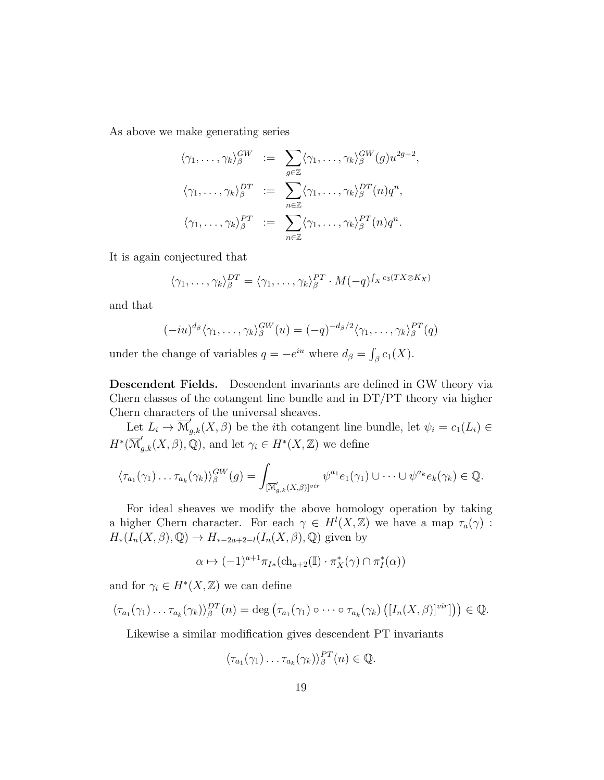As above we make generating series

$$
\langle \gamma_1, \ldots, \gamma_k \rangle_{\beta}^{GW} := \sum_{g \in \mathbb{Z}} \langle \gamma_1, \ldots, \gamma_k \rangle_{\beta}^{GW}(g) u^{2g-2},
$$
  

$$
\langle \gamma_1, \ldots, \gamma_k \rangle_{\beta}^{DT} := \sum_{n \in \mathbb{Z}} \langle \gamma_1, \ldots, \gamma_k \rangle_{\beta}^{DT}(n) q^n,
$$
  

$$
\langle \gamma_1, \ldots, \gamma_k \rangle_{\beta}^{PT} := \sum_{n \in \mathbb{Z}} \langle \gamma_1, \ldots, \gamma_k \rangle_{\beta}^{PT}(n) q^n.
$$

It is again conjectured that

$$
\langle \gamma_1, \ldots, \gamma_k \rangle_{\beta}^{DT} = \langle \gamma_1, \ldots, \gamma_k \rangle_{\beta}^{PT} \cdot M(-q)^{\int_X c_3(TX \otimes K_X)}
$$

and that

$$
(-iu)^{d_{\beta}}\langle \gamma_1,\ldots,\gamma_k\rangle_{\beta}^{GW}(u) = (-q)^{-d_{\beta}/2}\langle \gamma_1,\ldots,\gamma_k\rangle_{\beta}^{PT}(q)
$$

under the change of variables  $q = -e^{iu}$  where  $d_{\beta} = \int_{\beta} c_1(X)$ .

Descendent Fields. Descendent invariants are defined in GW theory via Chern classes of the cotangent line bundle and in DT/PT theory via higher Chern characters of the universal sheaves.

Let  $L_i \to \overline{\mathcal{M}}'_{g,k}(X,\beta)$  be the *i*th cotangent line bundle, let  $\psi_i = c_1(L_i) \in$  $H^*(\overline{\mathcal{M}}'_{g,k}(X,\beta),\mathbb{Q})$ , and let  $\gamma_i \in H^*(X,\mathbb{Z})$  we define

$$
\langle \tau_{a_1}(\gamma_1)\dots\tau_{a_k}(\gamma_k)\rangle_{\beta}^{GW}(g)=\int_{[\overline{\mathcal{M}}'_{g,k}(X,\beta)]^{vir}}\psi^{a_1}e_1(\gamma_1)\cup\cdots\cup\psi^{a_k}e_k(\gamma_k)\in\mathbb{Q}.
$$

For ideal sheaves we modify the above homology operation by taking a higher Chern character. For each  $\gamma \in H^l(X,\mathbb{Z})$  we have a map  $\tau_a(\gamma)$ :  $H_*(I_n(X,\beta),\mathbb{Q}) \to H_{*-2a+2-l}(I_n(X,\beta),\mathbb{Q})$  given by

$$
\alpha \mapsto (-1)^{a+1} \pi_{I*}(\mathrm{ch}_{a+2}(\mathbb{I}) \cdot \pi_X^*(\gamma) \cap \pi_I^*(\alpha))
$$

and for  $\gamma_i \in H^*(X, \mathbb{Z})$  we can define

$$
\langle \tau_{a_1}(\gamma_1) \ldots \tau_{a_k}(\gamma_k) \rangle_{\beta}^{DT}(n) = \deg \left( \tau_{a_1}(\gamma_1) \circ \cdots \circ \tau_{a_k}(\gamma_k) \left( [I_n(X,\beta)]^{vir} \right] \right) \in \mathbb{Q}.
$$

Likewise a similar modification gives descendent PT invariants

$$
\langle \tau_{a_1}(\gamma_1)\dots \tau_{a_k}(\gamma_k)\rangle_{\beta}^{PT}(n) \in \mathbb{Q}.
$$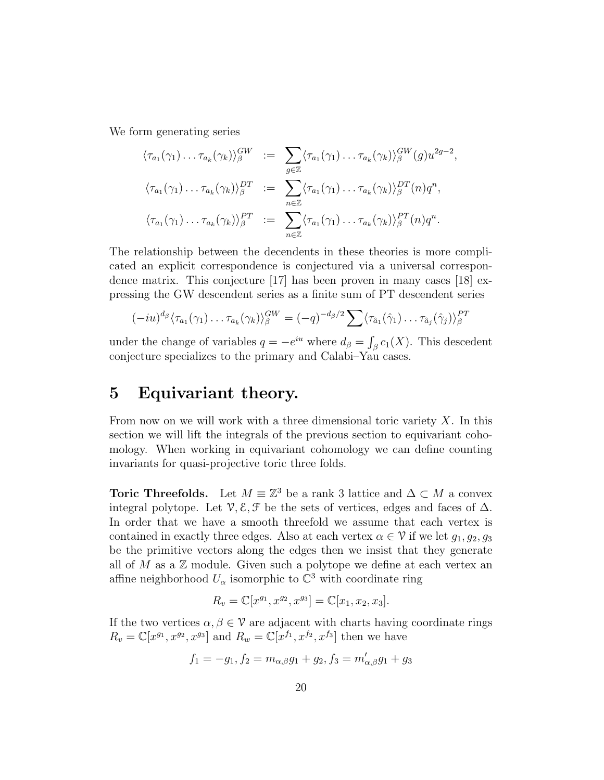We form generating series

$$
\langle \tau_{a_1}(\gamma_1) \dots \tau_{a_k}(\gamma_k) \rangle_{\beta}^{GW} := \sum_{g \in \mathbb{Z}} \langle \tau_{a_1}(\gamma_1) \dots \tau_{a_k}(\gamma_k) \rangle_{\beta}^{GW}(g) u^{2g-2},
$$
  

$$
\langle \tau_{a_1}(\gamma_1) \dots \tau_{a_k}(\gamma_k) \rangle_{\beta}^{DT} := \sum_{n \in \mathbb{Z}} \langle \tau_{a_1}(\gamma_1) \dots \tau_{a_k}(\gamma_k) \rangle_{\beta}^{DT}(n) q^n,
$$
  

$$
\langle \tau_{a_1}(\gamma_1) \dots \tau_{a_k}(\gamma_k) \rangle_{\beta}^{PT} := \sum_{n \in \mathbb{Z}} \langle \tau_{a_1}(\gamma_1) \dots \tau_{a_k}(\gamma_k) \rangle_{\beta}^{PT}(n) q^n.
$$

The relationship between the decendents in these theories is more complicated an explicit correspondence is conjectured via a universal correspondence matrix. This conjecture [17] has been proven in many cases [18] expressing the GW descendent series as a finite sum of PT descendent series

$$
(-iu)^{d_{\beta}}\langle \tau_{a_1}(\gamma_1)\dots\tau_{a_k}(\gamma_k)\rangle_{\beta}^{GW} = (-q)^{-d_{\beta}/2} \sum \langle \tau_{\hat{a}_1}(\hat{\gamma}_1)\dots\tau_{\hat{a}_j}(\hat{\gamma}_j)\rangle_{\beta}^{PT}
$$

under the change of variables  $q = -e^{iu}$  where  $d_{\beta} = \int_{\beta} c_1(X)$ . This descedent conjecture specializes to the primary and Calabi–Yau cases.

## 5 Equivariant theory.

From now on we will work with a three dimensional toric variety  $X$ . In this section we will lift the integrals of the previous section to equivariant cohomology. When working in equivariant cohomology we can define counting invariants for quasi-projective toric three folds.

**Toric Threefolds.** Let  $M \equiv \mathbb{Z}^3$  be a rank 3 lattice and  $\Delta \subset M$  a convex integral polytope. Let  $\mathcal{V}, \mathcal{E}, \mathcal{F}$  be the sets of vertices, edges and faces of  $\Delta$ . In order that we have a smooth threefold we assume that each vertex is contained in exactly three edges. Also at each vertex  $\alpha \in \mathcal{V}$  if we let  $g_1, g_2, g_3$ be the primitive vectors along the edges then we insist that they generate all of M as a  $\mathbb Z$  module. Given such a polytope we define at each vertex an affine neighborhood  $U_{\alpha}$  isomorphic to  $\mathbb{C}^3$  with coordinate ring

$$
R_v = \mathbb{C}[x^{g_1}, x^{g_2}, x^{g_3}] = \mathbb{C}[x_1, x_2, x_3].
$$

If the two vertices  $\alpha, \beta \in \mathcal{V}$  are adjacent with charts having coordinate rings  $R_v = \mathbb{C}[x^{g_1}, x^{g_2}, x^{g_3}]$  and  $R_w = \mathbb{C}[x^{f_1}, x^{f_2}, x^{f_3}]$  then we have

$$
f_1 = -g_1, f_2 = m_{\alpha,\beta}g_1 + g_2, f_3 = m'_{\alpha,\beta}g_1 + g_3
$$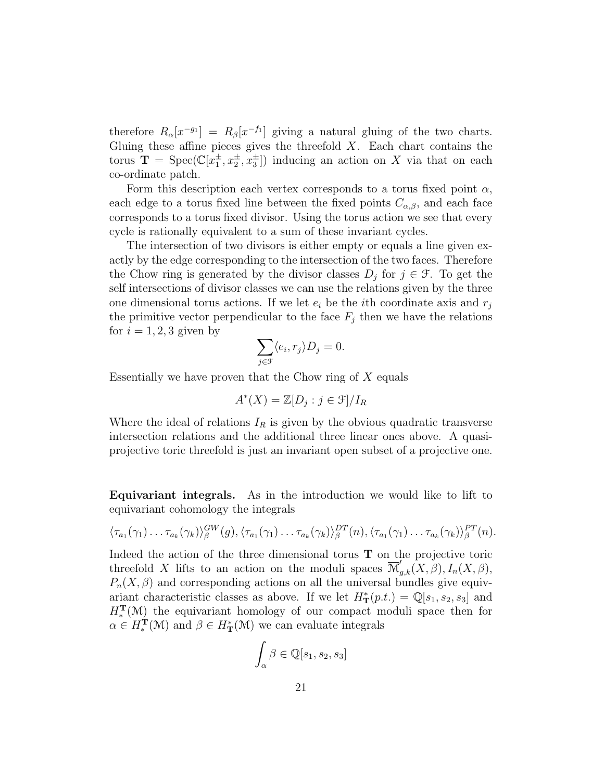therefore  $R_{\alpha}[x^{-g_1}] = R_{\beta}[x^{-f_1}]$  giving a natural gluing of the two charts. Gluing these affine pieces gives the threefold  $X$ . Each chart contains the torus  $\mathbf{T} = \text{Spec}(\mathbb{C}[\bar{x}_1^{\pm}, \bar{x}_2^{\pm}, \bar{x}_3^{\pm}])$  inducing an action on X via that on each co-ordinate patch.

Form this description each vertex corresponds to a torus fixed point  $\alpha$ , each edge to a torus fixed line between the fixed points  $C_{\alpha,\beta}$ , and each face corresponds to a torus fixed divisor. Using the torus action we see that every cycle is rationally equivalent to a sum of these invariant cycles.

The intersection of two divisors is either empty or equals a line given exactly by the edge corresponding to the intersection of the two faces. Therefore the Chow ring is generated by the divisor classes  $D_j$  for  $j \in \mathcal{F}$ . To get the self intersections of divisor classes we can use the relations given by the three one dimensional torus actions. If we let  $e_i$  be the *i*th coordinate axis and  $r_i$ the primitive vector perpendicular to the face  $F_j$  then we have the relations for  $i = 1, 2, 3$  given by

$$
\sum_{j\in\mathcal{F}}\langle e_i,r_j\rangle D_j=0.
$$

Essentially we have proven that the Chow ring of  $X$  equals

$$
A^*(X) = \mathbb{Z}[D_j : j \in \mathcal{F}]/I_R
$$

Where the ideal of relations  $I_R$  is given by the obvious quadratic transverse intersection relations and the additional three linear ones above. A quasiprojective toric threefold is just an invariant open subset of a projective one.

Equivariant integrals. As in the introduction we would like to lift to equivariant cohomology the integrals

$$
\langle \tau_{a_1}(\gamma_1)\dots\tau_{a_k}(\gamma_k)\rangle_{\beta}^{GW}(g), \langle \tau_{a_1}(\gamma_1)\dots\tau_{a_k}(\gamma_k)\rangle_{\beta}^{DT}(n), \langle \tau_{a_1}(\gamma_1)\dots\tau_{a_k}(\gamma_k)\rangle_{\beta}^{PT}(n).
$$

Indeed the action of the three dimensional torus  $T$  on the projective toric threefold X lifts to an action on the moduli spaces  $\overline{\mathcal{M}}'_{g,k}(X,\beta), I_n(X,\beta),$  $P_n(X, \beta)$  and corresponding actions on all the universal bundles give equivariant characteristic classes as above. If we let  $H^*_T(p.t.) = \mathbb{Q}[s_1, s_2, s_3]$  and  $H_*^{\mathbf{T}}(\mathcal{M})$  the equivariant homology of our compact moduli space then for  $\alpha \in H_*^{\mathbf{T}}(\mathcal{M})$  and  $\beta \in H_{\mathbf{T}}^{\ast}(\mathcal{M})$  we can evaluate integrals

$$
\int_{\alpha} \beta \in \mathbb{Q}[s_1, s_2, s_3]
$$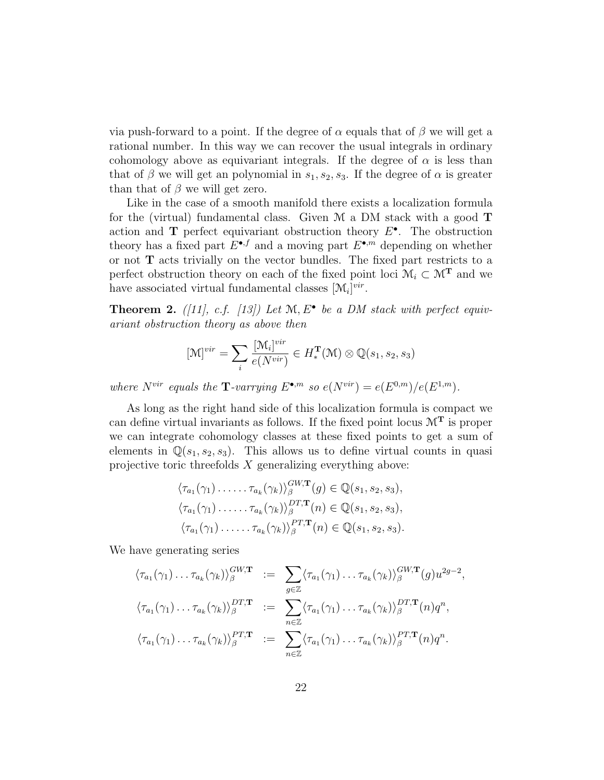via push-forward to a point. If the degree of  $\alpha$  equals that of  $\beta$  we will get a rational number. In this way we can recover the usual integrals in ordinary cohomology above as equivariant integrals. If the degree of  $\alpha$  is less than that of  $\beta$  we will get an polynomial in  $s_1, s_2, s_3$ . If the degree of  $\alpha$  is greater than that of  $\beta$  we will get zero.

Like in the case of a smooth manifold there exists a localization formula for the (virtual) fundamental class. Given  $\mathcal M$  a DM stack with a good  $\mathbf T$ action and  $\mathbf T$  perfect equivariant obstruction theory  $E^{\bullet}$ . The obstruction theory has a fixed part  $E^{\bullet,f}$  and a moving part  $E^{\bullet,m}$  depending on whether or not T acts trivially on the vector bundles. The fixed part restricts to a perfect obstruction theory on each of the fixed point loci  $\mathcal{M}_i\subset \mathcal{M}^{\mathbf{T}}$  and we have associated virtual fundamental classes  $[\mathcal{M}_i]^{vir}$ .

**Theorem 2.** ([11], c.f. [13]) Let  $M$ ,  $E^{\bullet}$  be a DM stack with perfect equivariant obstruction theory as above then

$$
[\mathcal{M}]^{vir} = \sum_{i} \frac{[\mathcal{M}_{i}]^{vir}}{e(N^{vir})} \in H_*^{\mathbf{T}}(\mathcal{M}) \otimes \mathbb{Q}(s_1, s_2, s_3)
$$

where  $N^{vir}$  equals the **T**-varrying  $E^{\bullet,m}$  so  $e(N^{vir}) = e(E^{0,m})/e(E^{1,m})$ .

As long as the right hand side of this localization formula is compact we can define virtual invariants as follows. If the fixed point locus  $\mathcal{M}^T$  is proper we can integrate cohomology classes at these fixed points to get a sum of elements in  $\mathbb{Q}(s_1, s_2, s_3)$ . This allows us to define virtual counts in quasi projective toric threefolds  $X$  generalizing everything above:

 $\sim$ 

$$
\langle \tau_{a_1}(\gamma_1) \dots \dots \tau_{a_k}(\gamma_k) \rangle_{\beta}^{GW,\mathbf{T}}(g) \in \mathbb{Q}(s_1, s_2, s_3),
$$
  

$$
\langle \tau_{a_1}(\gamma_1) \dots \dots \tau_{a_k}(\gamma_k) \rangle_{\beta}^{DT,\mathbf{T}}(n) \in \mathbb{Q}(s_1, s_2, s_3),
$$
  

$$
\langle \tau_{a_1}(\gamma_1) \dots \dots \tau_{a_k}(\gamma_k) \rangle_{\beta}^{PT,\mathbf{T}}(n) \in \mathbb{Q}(s_1, s_2, s_3).
$$

We have generating series

$$
\langle \tau_{a_1}(\gamma_1) \dots \tau_{a_k}(\gamma_k) \rangle_{\beta}^{GW,\mathbf{T}} := \sum_{g \in \mathbb{Z}} \langle \tau_{a_1}(\gamma_1) \dots \tau_{a_k}(\gamma_k) \rangle_{\beta}^{GW,\mathbf{T}}(g) u^{2g-2},
$$
  

$$
\langle \tau_{a_1}(\gamma_1) \dots \tau_{a_k}(\gamma_k) \rangle_{\beta}^{DT,\mathbf{T}} := \sum_{n \in \mathbb{Z}} \langle \tau_{a_1}(\gamma_1) \dots \tau_{a_k}(\gamma_k) \rangle_{\beta}^{DT,\mathbf{T}}(n) q^n,
$$
  

$$
\langle \tau_{a_1}(\gamma_1) \dots \tau_{a_k}(\gamma_k) \rangle_{\beta}^{PT,\mathbf{T}} := \sum_{n \in \mathbb{Z}} \langle \tau_{a_1}(\gamma_1) \dots \tau_{a_k}(\gamma_k) \rangle_{\beta}^{PT,\mathbf{T}}(n) q^n.
$$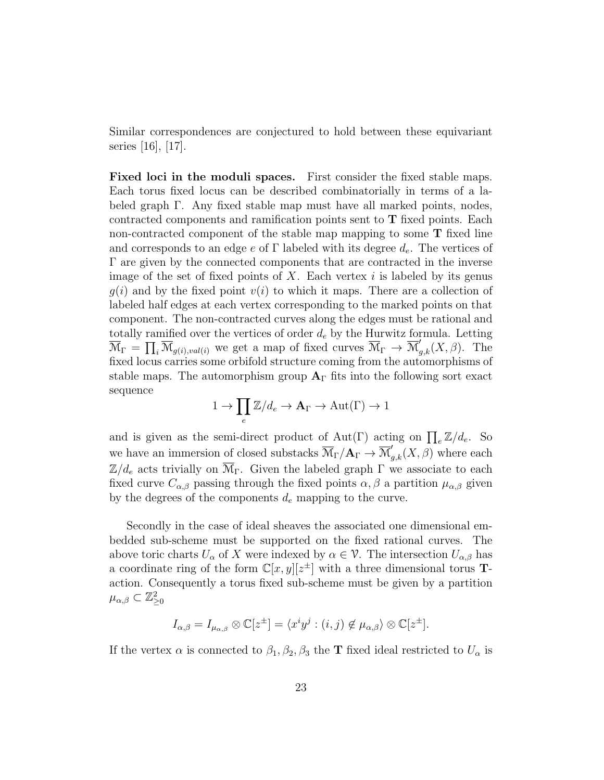Similar correspondences are conjectured to hold between these equivariant series [16], [17].

Fixed loci in the moduli spaces. First consider the fixed stable maps. Each torus fixed locus can be described combinatorially in terms of a labeled graph Γ. Any fixed stable map must have all marked points, nodes, contracted components and ramification points sent to T fixed points. Each non-contracted component of the stable map mapping to some T fixed line and corresponds to an edge e of  $\Gamma$  labeled with its degree  $d_e$ . The vertices of Γ are given by the connected components that are contracted in the inverse image of the set of fixed points of X. Each vertex  $i$  is labeled by its genus  $g(i)$  and by the fixed point  $v(i)$  to which it maps. There are a collection of labeled half edges at each vertex corresponding to the marked points on that component. The non-contracted curves along the edges must be rational and totally ramified over the vertices of order  $d_e$  by the Hurwitz formula. Letting  $\overline{\mathcal{M}}_{\Gamma} = \prod_i \overline{\mathcal{M}}_{g(i),val(i)}$  we get a map of fixed curves  $\overline{\mathcal{M}}_{\Gamma} \to \overline{\mathcal{M}}'_{g,k}(X,\beta)$ . The fixed locus carries some orbifold structure coming from the automorphisms of stable maps. The automorphism group  $A_{\Gamma}$  fits into the following sort exact sequence

$$
1 \to \prod_e \mathbb{Z}/d_e \to \mathbf{A}_\Gamma \to \mathrm{Aut}(\Gamma) \to 1
$$

and is given as the semi-direct product of Aut(Γ) acting on  $\prod_e \mathbb{Z}/d_e$ . So we have an immersion of closed substacks  $\overline{\mathcal{M}}_{\Gamma}/\mathbf{A}_{\Gamma} \to \overline{\mathcal{M}}'_{g,k}(X,\beta)$  where each  $\mathbb{Z}/d_e$  acts trivially on  $\overline{\mathcal{M}}_{\Gamma}$ . Given the labeled graph  $\Gamma$  we associate to each fixed curve  $C_{\alpha,\beta}$  passing through the fixed points  $\alpha,\beta$  a partition  $\mu_{\alpha,\beta}$  given by the degrees of the components  $d_e$  mapping to the curve.

Secondly in the case of ideal sheaves the associated one dimensional embedded sub-scheme must be supported on the fixed rational curves. The above toric charts  $U_{\alpha}$  of X were indexed by  $\alpha \in \mathcal{V}$ . The intersection  $U_{\alpha,\beta}$  has a coordinate ring of the form  $\mathbb{C}[x,y][z^{\pm}]$  with a three dimensional torus **T**action. Consequently a torus fixed sub-scheme must be given by a partition  $\mu_{\alpha,\beta}\subset\mathbb{Z}_{\geq0}^2$ 

$$
I_{\alpha,\beta} = I_{\mu_{\alpha,\beta}} \otimes \mathbb{C}[z^{\pm}] = \langle x^i y^j : (i,j) \notin \mu_{\alpha,\beta} \rangle \otimes \mathbb{C}[z^{\pm}].
$$

If the vertex  $\alpha$  is connected to  $\beta_1, \beta_2, \beta_3$  the **T** fixed ideal restricted to  $U_{\alpha}$  is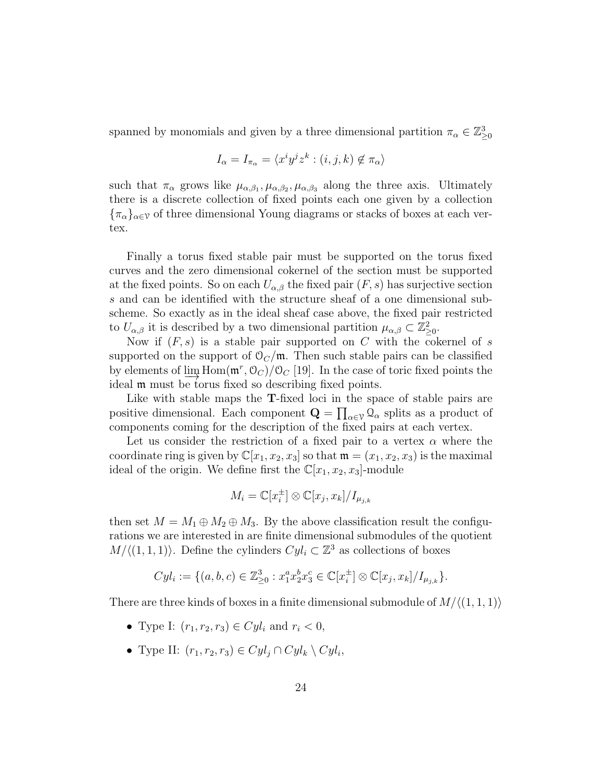spanned by monomials and given by a three dimensional partition  $\pi_{\alpha} \in \mathbb{Z}_{\geq 0}^3$ 

$$
I_{\alpha}=I_{\pi_{\alpha}}=\langle x^iy^jz^k:(i,j,k)\not\in\pi_{\alpha}\rangle
$$

such that  $\pi_{\alpha}$  grows like  $\mu_{\alpha,\beta_1}, \mu_{\alpha,\beta_2}, \mu_{\alpha,\beta_3}$  along the three axis. Ultimately there is a discrete collection of fixed points each one given by a collection  ${\{\pi_\alpha\}}_{\alpha\in\mathcal{V}}$  of three dimensional Young diagrams or stacks of boxes at each vertex.

Finally a torus fixed stable pair must be supported on the torus fixed curves and the zero dimensional cokernel of the section must be supported at the fixed points. So on each  $U_{\alpha,\beta}$  the fixed pair  $(F, s)$  has surjective section s and can be identified with the structure sheaf of a one dimensional subscheme. So exactly as in the ideal sheaf case above, the fixed pair restricted to  $U_{\alpha,\beta}$  it is described by a two dimensional partition  $\mu_{\alpha,\beta} \subset \mathbb{Z}_{\geq 0}^2$ .

Now if  $(F, s)$  is a stable pair supported on C with the cokernel of s supported on the support of  $\mathcal{O}_C/\mathfrak{m}$ . Then such stable pairs can be classified by elements of  $\lim_{\epsilon \to 0}$  Hom $(\mathfrak{m}^r, \mathcal{O}_C)/\mathcal{O}_C$  [19]. In the case of toric fixed points the ideal **m** must be torus fixed so describing fixed points.

Like with stable maps the **T**-fixed loci in the space of stable pairs are positive dimensional. Each component  $\mathbf{Q} = \prod_{\alpha \in \mathcal{V}} \mathcal{Q}_{\alpha}$  splits as a product of components coming for the description of the fixed pairs at each vertex.

Let us consider the restriction of a fixed pair to a vertex  $\alpha$  where the coordinate ring is given by  $\mathbb{C}[x_1, x_2, x_3]$  so that  $\mathfrak{m} = (x_1, x_2, x_3)$  is the maximal ideal of the origin. We define first the  $\mathbb{C}[x_1, x_2, x_3]$ -module

$$
M_i = \mathbb{C}[x_i^{\pm}] \otimes \mathbb{C}[x_j, x_k]/I_{\mu_{j,k}}
$$

then set  $M = M_1 \oplus M_2 \oplus M_3$ . By the above classification result the configurations we are interested in are finite dimensional submodules of the quotient  $M/\langle (1, 1, 1) \rangle$ . Define the cylinders  $Cyl_i \subset \mathbb{Z}^3$  as collections of boxes

$$
Cyl_i := \{ (a, b, c) \in \mathbb{Z}_{\geq 0}^3 : x_1^a x_2^b x_3^c \in \mathbb{C}[x_i^{\pm}] \otimes \mathbb{C}[x_j, x_k] / I_{\mu_{j,k}} \}.
$$

There are three kinds of boxes in a finite dimensional submodule of  $M/(1, 1, 1)$ 

- Type I:  $(r_1, r_2, r_3) \in Cyl_i$  and  $r_i < 0$ ,
- Type II:  $(r_1, r_2, r_3) \in Cyl_j \cap Cyl_k \setminus Cyl_i$ ,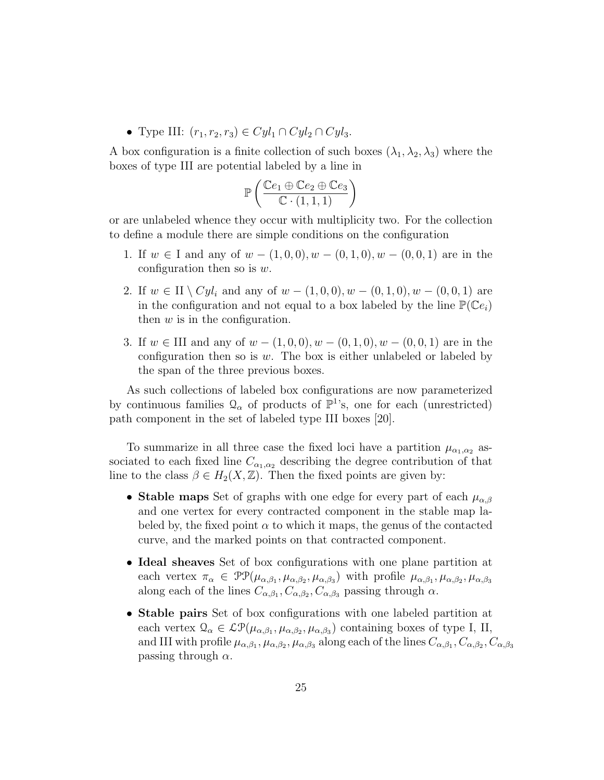• Type III:  $(r_1, r_2, r_3) \in Cyl_1 \cap Cyl_2 \cap Cyl_3$ .

A box configuration is a finite collection of such boxes  $(\lambda_1, \lambda_2, \lambda_3)$  where the boxes of type III are potential labeled by a line in

$$
\mathbb{P}\left(\frac{\mathbb{C}e_1 \oplus \mathbb{C}e_2 \oplus \mathbb{C}e_3}{\mathbb{C} \cdot (1,1,1)}\right)
$$

or are unlabeled whence they occur with multiplicity two. For the collection to define a module there are simple conditions on the configuration

- 1. If  $w \in I$  and any of  $w (1, 0, 0), w (0, 1, 0), w (0, 0, 1)$  are in the configuration then so is  $w$ .
- 2. If  $w \in H \setminus Cyl_i$  and any of  $w (1, 0, 0), w (0, 1, 0), w (0, 0, 1)$  are in the configuration and not equal to a box labeled by the line  $\mathbb{P}(\mathbb{C}e_i)$ then  $w$  is in the configuration.
- 3. If  $w \in \Pi$  and any of  $w (1, 0, 0), w (0, 1, 0), w (0, 0, 1)$  are in the configuration then so is  $w$ . The box is either unlabeled or labeled by the span of the three previous boxes.

As such collections of labeled box configurations are now parameterized by continuous families  $\mathcal{Q}_{\alpha}$  of products of  $\mathbb{P}^{1}$ 's, one for each (unrestricted) path component in the set of labeled type III boxes [20].

To summarize in all three case the fixed loci have a partition  $\mu_{\alpha_1,\alpha_2}$  associated to each fixed line  $C_{\alpha_1,\alpha_2}$  describing the degree contribution of that line to the class  $\beta \in H_2(X,\mathbb{Z})$ . Then the fixed points are given by:

- Stable maps Set of graphs with one edge for every part of each  $\mu_{\alpha,\beta}$ and one vertex for every contracted component in the stable map labeled by, the fixed point  $\alpha$  to which it maps, the genus of the contacted curve, and the marked points on that contracted component.
- Ideal sheaves Set of box configurations with one plane partition at each vertex  $\pi_{\alpha} \in \mathcal{PP}(\mu_{\alpha,\beta_1}, \mu_{\alpha,\beta_2}, \mu_{\alpha,\beta_3})$  with profile  $\mu_{\alpha,\beta_1}, \mu_{\alpha,\beta_2}, \mu_{\alpha,\beta_3}$ along each of the lines  $C_{\alpha,\beta_1}, C_{\alpha,\beta_2}, C_{\alpha,\beta_3}$  passing through  $\alpha$ .
- Stable pairs Set of box configurations with one labeled partition at each vertex  $\mathcal{Q}_{\alpha} \in \mathcal{LP}(\mu_{\alpha,\beta_1}, \mu_{\alpha,\beta_2}, \mu_{\alpha,\beta_3})$  containing boxes of type I, II, and III with profile  $\mu_{\alpha,\beta_1}, \mu_{\alpha,\beta_2}, \mu_{\alpha,\beta_3}$  along each of the lines  $C_{\alpha,\beta_1}, C_{\alpha,\beta_2}, C_{\alpha,\beta_3}$ passing through  $\alpha$ .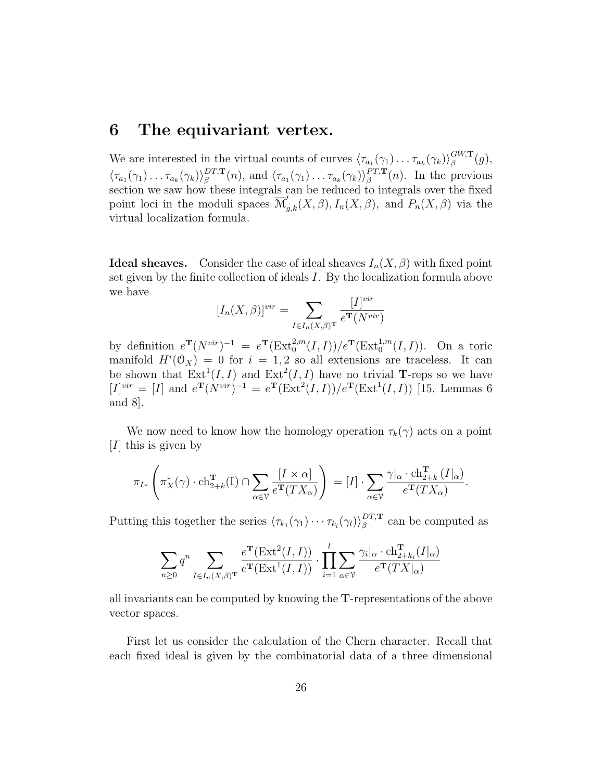### 6 The equivariant vertex.

We are interested in the virtual counts of curves  $\langle \tau_{a_1}(\gamma_1) \dots \tau_{a_k}(\gamma_k) \rangle_{\beta}^{GW, \mathbf{T}}$  $\begin{array}{c} G^{W,\mathbf{I}}(g),\ \beta \end{array}$  $\langle \tau_{a_1}(\gamma_1) \dots \tau_{a_k}(\gamma_k) \rangle^{DT,{\bf T}}_\beta$  $\mathcal{L}^{DT,\mathbf{T}}_{\beta}(n)$ , and  $\langle \tau_{a_1}(\gamma_1) \dots \tau_{a_k}(\gamma_k) \rangle_{\beta}^{PT,\mathbf{T}}$  $l_{\beta}^{PI, \mathbf{T}}(n)$ . In the previous section we saw how these integrals can be reduced to integrals over the fixed point loci in the moduli spaces  $\overline{\mathcal{M}}'_{g,k}(X,\beta), I_n(X,\beta)$ , and  $P_n(X,\beta)$  via the virtual localization formula.

**Ideal sheaves.** Consider the case of ideal sheaves  $I_n(X, \beta)$  with fixed point set given by the finite collection of ideals I. By the localization formula above we have

$$
[I_n(X,\beta)]^{vir} = \sum_{I \in I_n(X,\beta)^{\mathbf{T}}} \frac{[I]^{vir}}{e^{\mathbf{T}}(N^{vir})}
$$

by definition  $e^{\mathbf{T}}(N^{vir})^{-1} = e^{\mathbf{T}}(\text{Ext}_{0}^{2,m}(I,I))/e^{\mathbf{T}}(\text{Ext}_{0}^{1,m}(I,I)).$  On a toric manifold  $H^{i}(\mathcal{O}_X) = 0$  for  $i = 1, 2$  so all extensions are traceless. It can be shown that  $\text{Ext}^1(I, I)$  and  $\text{Ext}^2(I, I)$  have no trivial **T**-reps so we have  $[I]^{vir} = [I]$  and  $e^{T}(N^{vir})^{-1} = e^{T}(Ext^{2}(I, I))/e^{T}(Ext^{1}(I, I))$  [15, Lemmas 6 and 8].

We now need to know how the homology operation  $\tau_k(\gamma)$  acts on a point [ $I$ ] this is given by

$$
\pi_{I*}\left(\pi_X^*(\gamma)\cdot \mathrm{ch}_{2+k}^{\mathbf{T}}(\mathbb{I})\cap \sum_{\alpha\in\mathcal{V}}\frac{[I\times\alpha]}{e^{\mathbf{T}}(TX_{\alpha})}\right)=[I]\cdot \sum_{\alpha\in\mathcal{V}}\frac{\gamma|_{\alpha}\cdot \mathrm{ch}_{2+k}^{\mathbf{T}}(I|_{\alpha})}{e^{\mathbf{T}}(TX_{\alpha})}.
$$

Putting this together the series  $\langle \tau_{k_1}(\gamma_1) \cdots \tau_{k_l}(\gamma_l) \rangle_{\beta}^{DT,\mathbf{T}}$  $\beta^{DI,T}$  can be computed as

$$
\sum_{n\geq 0} q^n \sum_{I\in I_n(X,\beta)^{\mathbf{T}}} \frac{e^{\mathbf{T}}(\mathrm{Ext}^2(I,I))}{e^{\mathbf{T}}(\mathrm{Ext}^1(I,I))} \cdot \prod_{i=1}^l \sum_{\alpha\in\mathcal{V}} \frac{\gamma_i|_{\alpha} \cdot \mathrm{ch}_{2+k_i}^{\mathbf{T}}(I|_{\alpha})}{e^{\mathbf{T}}(TX|_{\alpha})}
$$

all invariants can be computed by knowing the T-representations of the above vector spaces.

First let us consider the calculation of the Chern character. Recall that each fixed ideal is given by the combinatorial data of a three dimensional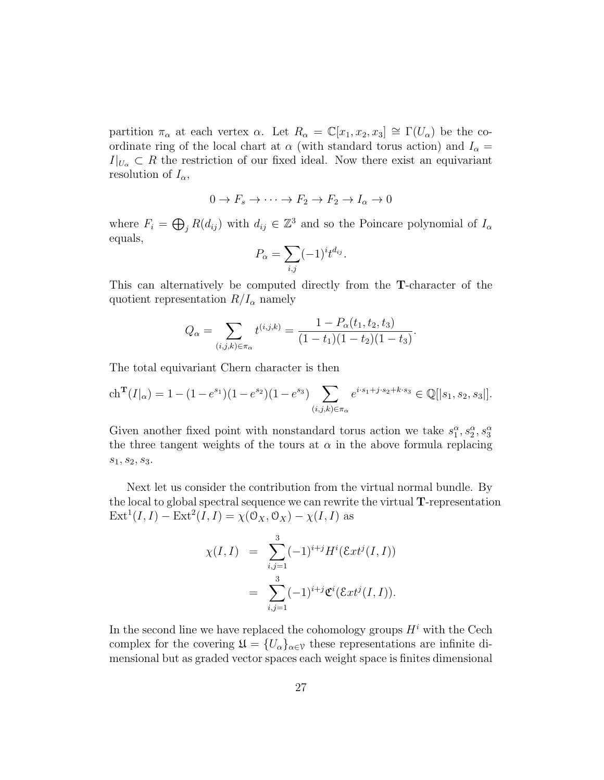partition  $\pi_{\alpha}$  at each vertex  $\alpha$ . Let  $R_{\alpha} = \mathbb{C}[x_1, x_2, x_3] \cong \Gamma(U_{\alpha})$  be the coordinate ring of the local chart at  $\alpha$  (with standard torus action) and  $I_{\alpha} =$  $I|_{U_{\alpha}} \subset R$  the restriction of our fixed ideal. Now there exist an equivariant resolution of  $I_{\alpha}$ ,

$$
0 \to F_s \to \cdots \to F_2 \to F_2 \to I_\alpha \to 0
$$

where  $F_i = \bigoplus_j R(d_{ij})$  with  $d_{ij} \in \mathbb{Z}^3$  and so the Poincare polynomial of  $I_{\alpha}$ equals,

$$
P_{\alpha} = \sum_{i,j} (-1)^{i} t^{d_{ij}}.
$$

This can alternatively be computed directly from the T-character of the quotient representation  $R/I_{\alpha}$  namely

$$
Q_{\alpha} = \sum_{(i,j,k)\in\pi_{\alpha}} t^{(i,j,k)} = \frac{1 - P_{\alpha}(t_1, t_2, t_3)}{(1 - t_1)(1 - t_2)(1 - t_3)}.
$$

The total equivariant Chern character is then

$$
\operatorname{ch}^{\mathbf{T}}(I|_{\alpha}) = 1 - (1 - e^{s_1})(1 - e^{s_2})(1 - e^{s_3}) \sum_{(i,j,k) \in \pi_{\alpha}} e^{i \cdot s_1 + j \cdot s_2 + k \cdot s_3} \in \mathbb{Q}[[s_1, s_2, s_3]].
$$

Given another fixed point with nonstandard torus action we take  $s_1^{\alpha}, s_2^{\alpha}, s_3^{\alpha}$ the three tangent weights of the tours at  $\alpha$  in the above formula replacing  $s_1, s_2, s_3.$ 

Next let us consider the contribution from the virtual normal bundle. By the local to global spectral sequence we can rewrite the virtual T-representation  $\text{Ext}^1(I, I) - \text{Ext}^2(I, I) = \chi(\mathcal{O}_X, \mathcal{O}_X) - \chi(I, I)$  as

$$
\chi(I, I) = \sum_{i,j=1}^{3} (-1)^{i+j} H^{i}(\mathcal{E}xt^{j}(I, I))
$$
  
= 
$$
\sum_{i,j=1}^{3} (-1)^{i+j} \mathfrak{C}^{i}(\mathcal{E}xt^{j}(I, I)).
$$

In the second line we have replaced the cohomology groups  $H^i$  with the Cech complex for the covering  $\mathfrak{U} = \{U_{\alpha}\}_{{\alpha \in \mathcal{V}}}$  these representations are infinite dimensional but as graded vector spaces each weight space is finites dimensional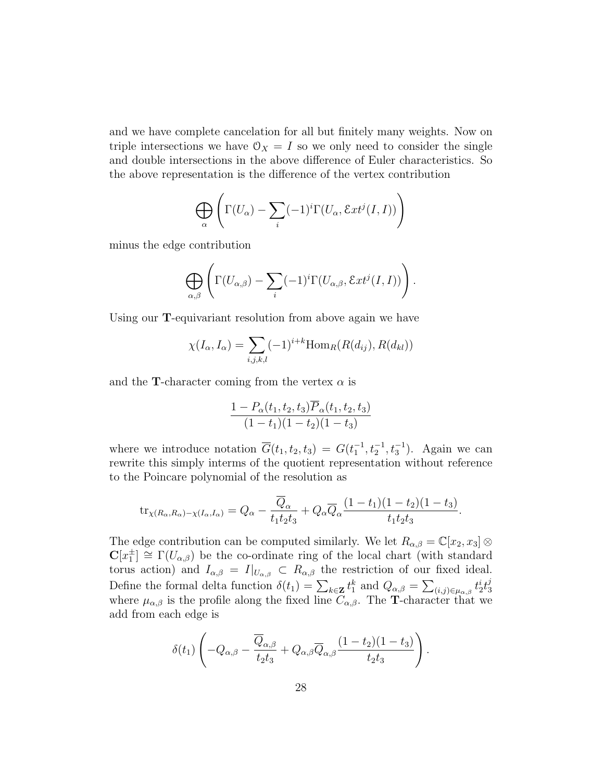and we have complete cancelation for all but finitely many weights. Now on triple intersections we have  $\mathcal{O}_X = I$  so we only need to consider the single and double intersections in the above difference of Euler characteristics. So the above representation is the difference of the vertex contribution

$$
\bigoplus_{\alpha} \left( \Gamma(U_{\alpha}) - \sum_{i} (-1)^{i} \Gamma(U_{\alpha}, \mathcal{E}xt^{j}(I, I)) \right)
$$

minus the edge contribution

$$
\bigoplus_{\alpha,\beta}\left(\Gamma(U_{\alpha,\beta})-\sum_i(-1)^i\Gamma(U_{\alpha,\beta},\mathcal{E}xt^j(I,I))\right).
$$

Using our T-equivariant resolution from above again we have

$$
\chi(I_{\alpha}, I_{\alpha}) = \sum_{i,j,k,l} (-1)^{i+k} \text{Hom}_{R}(R(d_{ij}), R(d_{kl}))
$$

and the **T**-character coming from the vertex  $\alpha$  is

$$
\frac{1 - P_{\alpha}(t_1, t_2, t_3) \overline{P}_{\alpha}(t_1, t_2, t_3)}{(1 - t_1)(1 - t_2)(1 - t_3)}
$$

where we introduce notation  $\overline{G}(t_1, t_2, t_3) = G(t_1^{-1}, t_2^{-1}, t_3^{-1})$ . Again we can rewrite this simply interms of the quotient representation without reference to the Poincare polynomial of the resolution as

$$
\operatorname{tr}_{\chi(R_{\alpha},R_{\alpha})-\chi(I_{\alpha},I_{\alpha})}=Q_{\alpha}-\frac{\overline{Q}_{\alpha}}{t_1t_2t_3}+Q_{\alpha}\overline{Q}_{\alpha}\frac{(1-t_1)(1-t_2)(1-t_3)}{t_1t_2t_3}.
$$

The edge contribution can be computed similarly. We let  $R_{\alpha,\beta} = \mathbb{C}[x_2, x_3] \otimes$  $\mathbf{C}[x_1^{\pm}] \cong \Gamma(U_{\alpha,\beta})$  be the co-ordinate ring of the local chart (with standard torus action) and  $I_{\alpha,\beta} = I|_{U_{\alpha,\beta}} \subset R_{\alpha,\beta}$  the restriction of our fixed ideal. Define the formal delta function  $\delta(t_1) = \sum_{k \in \mathbf{Z}} t_1^k$  and  $Q_{\alpha,\beta} = \sum_{(i,j) \in \mu_{\alpha,\beta}} t_2^i t_3^j$ 3 where  $\mu_{\alpha,\beta}$  is the profile along the fixed line  $C_{\alpha,\beta}$ . The **T**-character that we add from each edge is

$$
\delta(t_1)\left(-Q_{\alpha,\beta}-\frac{\overline{Q}_{\alpha,\beta}}{t_2t_3}+Q_{\alpha,\beta}\overline{Q}_{\alpha,\beta}\frac{(1-t_2)(1-t_3)}{t_2t_3}\right).
$$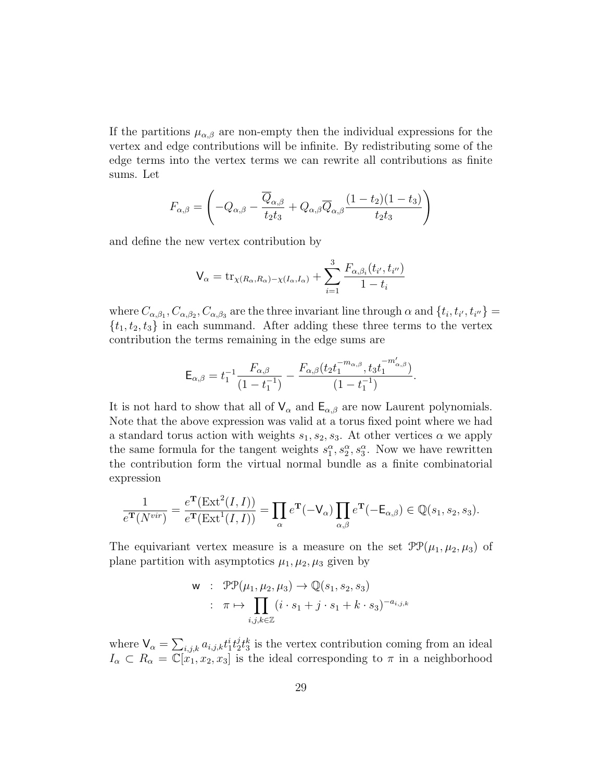If the partitions  $\mu_{\alpha,\beta}$  are non-empty then the individual expressions for the vertex and edge contributions will be infinite. By redistributing some of the edge terms into the vertex terms we can rewrite all contributions as finite sums. Let

$$
F_{\alpha,\beta} = \left(-Q_{\alpha,\beta} - \frac{\overline{Q}_{\alpha,\beta}}{t_2 t_3} + Q_{\alpha,\beta} \overline{Q}_{\alpha,\beta} \frac{(1-t_2)(1-t_3)}{t_2 t_3}\right)
$$

and define the new vertex contribution by

$$
V_{\alpha} = \text{tr}_{\chi(R_{\alpha},R_{\alpha})-\chi(I_{\alpha},I_{\alpha})} + \sum_{i=1}^{3} \frac{F_{\alpha,\beta_i}(t_{i'},t_{i''})}{1-t_i}
$$

where  $C_{\alpha,\beta_1}, C_{\alpha,\beta_2}, C_{\alpha,\beta_3}$  are the three invariant line through  $\alpha$  and  $\{t_i, t_{i'}, t_{i''}\}=$  $\{t_1, t_2, t_3\}$  in each summand. After adding these three terms to the vertex contribution the terms remaining in the edge sums are

$$
\mathsf{E}_{\alpha,\beta} = t_1^{-1} \frac{F_{\alpha,\beta}}{(1 - t_1^{-1})} - \frac{F_{\alpha,\beta}(t_2 t_1^{-m_{\alpha,\beta}}, t_3 t_1^{-m'_{\alpha,\beta}})}{(1 - t_1^{-1})}.
$$

It is not hard to show that all of  $V_{\alpha}$  and  $E_{\alpha,\beta}$  are now Laurent polynomials. Note that the above expression was valid at a torus fixed point where we had a standard torus action with weights  $s_1, s_2, s_3$ . At other vertices  $\alpha$  we apply the same formula for the tangent weights  $s_1^{\alpha}, s_2^{\alpha}, s_3^{\alpha}$ . Now we have rewritten the contribution form the virtual normal bundle as a finite combinatorial expression

$$
\frac{1}{e^{\mathbf{T}}(N^{vir})} = \frac{e^{\mathbf{T}}(\text{Ext}^2(I,I))}{e^{\mathbf{T}}(\text{Ext}^1(I,I))} = \prod_{\alpha} e^{\mathbf{T}}(-\mathsf{V}_{\alpha}) \prod_{\alpha,\beta} e^{\mathbf{T}}(-\mathsf{E}_{\alpha,\beta}) \in \mathbb{Q}(s_1, s_2, s_3).
$$

The equivariant vertex measure is a measure on the set  $\mathcal{PP}(\mu_1, \mu_2, \mu_3)$  of plane partition with asymptotics  $\mu_1, \mu_2, \mu_3$  given by

$$
\mathsf{w} \quad : \quad \mathcal{PP}(\mu_1, \mu_2, \mu_3) \to \mathbb{Q}(s_1, s_2, s_3) \\
: \quad \pi \mapsto \prod_{i,j,k \in \mathbb{Z}} (i \cdot s_1 + j \cdot s_1 + k \cdot s_3)^{-a_{i,j,k}}
$$

where  $V_{\alpha} = \sum_{i,j,k} a_{i,j,k} t_1^i t_2^j$  $\dot{z}^{j}_{2}t_{3}^{k}$  is the vertex contribution coming from an ideal  $I_{\alpha} \subset R_{\alpha} = \overline{\mathbb{C}[x_1, x_2, x_3]}$  is the ideal corresponding to  $\pi$  in a neighborhood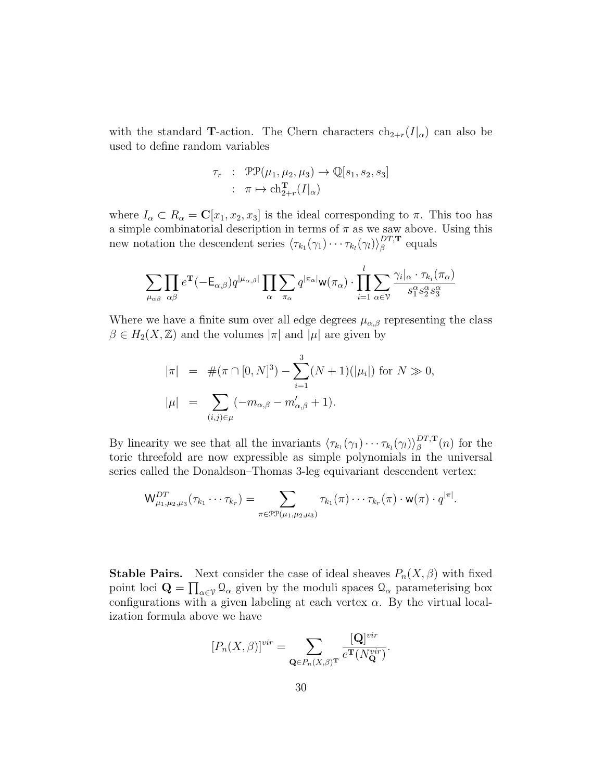with the standard **T**-action. The Chern characters  $ch_{2+r}(I|\alpha)$  can also be used to define random variables

$$
\tau_r : \mathcal{PP}(\mu_1, \mu_2, \mu_3) \to \mathbb{Q}[s_1, s_2, s_3]
$$
  

$$
: \pi \mapsto \text{ch}_{2+r}^{\mathbf{T}}(I|_{\alpha})
$$

where  $I_{\alpha} \subset R_{\alpha} = \mathbf{C}[x_1, x_2, x_3]$  is the ideal corresponding to  $\pi$ . This too has a simple combinatorial description in terms of  $\pi$  as we saw above. Using this new notation the descendent series  $\langle \tau_{k_1}(\gamma_1)\cdots\tau_{k_l}(\gamma_l)\rangle_{\beta}^{DT,\mathbf{T}}$  $_{\beta}^{DI,\mathbf{T}}$  equals

$$
\sum_{\mu_{\alpha\beta}} \prod_{\alpha\beta} e^{\mathbf{T}}(-\mathsf{E}_{\alpha,\beta}) q^{|\mu_{\alpha,\beta}|} \prod_{\alpha} \sum_{\pi_{\alpha}} q^{|\pi_{\alpha}|} \mathsf{w}(\pi_{\alpha}) \cdot \prod_{i=1}^{l} \sum_{\alpha \in \mathcal{V}} \frac{\gamma_i|_{\alpha} \cdot \tau_{k_i}(\pi_{\alpha})}{s_1^{\alpha} s_2^{\alpha} s_3^{\alpha}}
$$

Where we have a finite sum over all edge degrees  $\mu_{\alpha,\beta}$  representing the class  $\beta \in H_2(X,\mathbb{Z})$  and the volumes  $|\pi|$  and  $|\mu|$  are given by

$$
|\pi| = #(\pi \cap [0, N]^3) - \sum_{i=1}^{3} (N+1)(|\mu_i|) \text{ for } N \gg 0,
$$
  

$$
|\mu| = \sum_{(i,j)\in\mu} (-m_{\alpha,\beta} - m'_{\alpha,\beta} + 1).
$$

By linearity we see that all the invariants  $\langle \tau_{k_1}(\gamma_1)\cdots\tau_{k_l}(\gamma_l)\rangle_{\beta}^{DT,\mathbf{T}}$  $\int_{\beta}^{DT,\mathbf{T}}(n)$  for the toric threefold are now expressible as simple polynomials in the universal series called the Donaldson–Thomas 3-leg equivariant descendent vertex:

$$
\mathsf{W}_{\mu_1,\mu_2,\mu_3}^{DT}(\tau_{k_1}\cdots \tau_{k_r})=\sum_{\pi\in \mathfrak{PP}(\mu_1,\mu_2,\mu_3)}\tau_{k_1}(\pi)\cdots \tau_{k_r}(\pi)\cdot \mathsf{w}(\pi)\cdot q^{|\pi|}.
$$

**Stable Pairs.** Next consider the case of ideal sheaves  $P_n(X, \beta)$  with fixed point loci  $\mathbf{Q} = \prod_{\alpha \in \mathcal{V}} Q_{\alpha}$  given by the moduli spaces  $Q_{\alpha}$  parameterising box configurations with a given labeling at each vertex  $\alpha$ . By the virtual localization formula above we have

$$
[P_n(X,\beta)]^{vir} = \sum_{\mathbf{Q} \in P_n(X,\beta)^{\mathbf{T}}} \frac{[\mathbf{Q}]^{vir}}{e^{\mathbf{T}}(N_{\mathbf{Q}}^{vir})}.
$$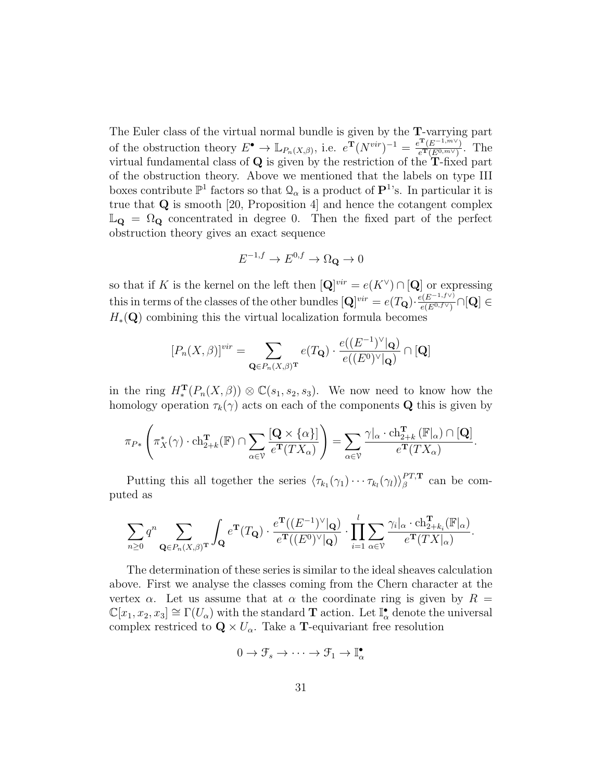The Euler class of the virtual normal bundle is given by the T-varrying part of the obstruction theory  $E^{\bullet} \to \mathbb{L}_{P_n(X,\beta)}$ , i.e.  $e^{\mathbf{T}}(N^{vir})^{-1} = \frac{e^{\mathbf{T}}(E^{-1,m\vee})}{e^{\mathbf{T}}(E^{0,m\vee})}$  $\frac{e^{i\mathbf{r}}(E^{0,m\vee})}{e^{i\mathbf{r}}(E^{0,m\vee})}$ . The virtual fundamental class of  $Q$  is given by the restriction of the  $T$ -fixed part of the obstruction theory. Above we mentioned that the labels on type III boxes contribute  $\mathbb{P}^1$  factors so that  $\mathcal{Q}_\alpha$  is a product of  $\mathbf{P}^1$ 's. In particular it is true that Q is smooth [20, Proposition 4] and hence the cotangent complex  $\mathbb{L}_{\mathbf{Q}} = \Omega_{\mathbf{Q}}$  concentrated in degree 0. Then the fixed part of the perfect obstruction theory gives an exact sequence

$$
E^{-1,f} \to E^{0,f} \to \Omega_{\mathbf{Q}} \to 0
$$

so that if K is the kernel on the left then  $[\mathbf{Q}]^{vir} = e(K^{\vee}) \cap [\mathbf{Q}]$  or expressing this in terms of the classes of the other bundles  $[\mathbf{Q}]^{vir} = e(T_{\mathbf{Q}}) \cdot \frac{e(E^{-1,f\vee})}{e(E^{0,f\vee})}$  $\frac{e(E^{(-1, j \to \vee)})}{e(E^{0, f \vee})} \cap [\mathbf{Q}] \in$  $H_*(\mathbf{Q})$  combining this the virtual localization formula becomes

$$
[P_n(X,\beta)]^{vir} = \sum_{\mathbf{Q} \in P_n(X,\beta)^{\mathbf{T}}} e(T_{\mathbf{Q}}) \cdot \frac{e((E^{-1})^{\vee}|\mathbf{Q})}{e((E^0)^{\vee}|\mathbf{Q})} \cap [\mathbf{Q}]
$$

in the ring  $H_*^{\mathbf{T}}(P_n(X,\beta)) \otimes \mathbb{C}(s_1,s_2,s_3)$ . We now need to know how the homology operation  $\tau_k(\gamma)$  acts on each of the components **Q** this is given by

$$
\pi_{P*}\left(\pi_X^*(\gamma)\cdot \mathrm{ch}_{2+k}^{\mathbf{T}}(\mathbb{F})\cap \sum_{\alpha\in\mathcal{V}}\frac{[\mathbf{Q}\times\{\alpha\}]}{e^{\mathbf{T}}(TX_{\alpha})}\right)=\sum_{\alpha\in\mathcal{V}}\frac{\gamma|_{\alpha}\cdot \mathrm{ch}_{2+k}^{\mathbf{T}}(\mathbb{F}_{|\alpha})\cap[\mathbf{Q}]}{e^{\mathbf{T}}(TX_{\alpha})}.
$$

Putting this all together the series  $\langle \tau_{k_1}(\gamma_1)\cdots\tau_{k_l}(\gamma_l)\rangle_{\beta}^{PT,T}$  $l_{\beta}^{PT, \mathbf{T}}$  can be computed as

$$
\sum_{n\geq 0} q^n \sum_{\mathbf{Q}\in P_n(X,\beta)^{\mathbf{T}}} \int_{\mathbf{Q}} e^{\mathbf{T}}(T_{\mathbf{Q}}) \cdot \frac{e^{\mathbf{T}}((E^{-1})^{\vee}|\mathbf{Q})}{e^{\mathbf{T}}((E^0)^{\vee}|\mathbf{Q})} \cdot \prod_{i=1}^l \sum_{\alpha\in\mathcal{V}} \frac{\gamma_i|_{\alpha} \cdot \operatorname{ch}_{2+k_i}^{\mathbf{T}}(\mathbb{F}|\alpha)}{e^{\mathbf{T}}(TX|_{\alpha})}.
$$

The determination of these series is similar to the ideal sheaves calculation above. First we analyse the classes coming from the Chern character at the vertex  $\alpha$ . Let us assume that at  $\alpha$  the coordinate ring is given by  $R =$  $\mathbb{C}[x_1, x_2, x_3] \cong \Gamma(U_\alpha)$  with the standard **T** action. Let  $\mathbb{I}^{\bullet}_{\alpha}$  denote the universal complex restriced to  $\mathbf{Q} \times U_{\alpha}$ . Take a **T**-equivariant free resolution

$$
0 \to \mathcal{F}_s \to \cdots \to \mathcal{F}_1 \to \mathbb{I}_{\alpha}^{\bullet}
$$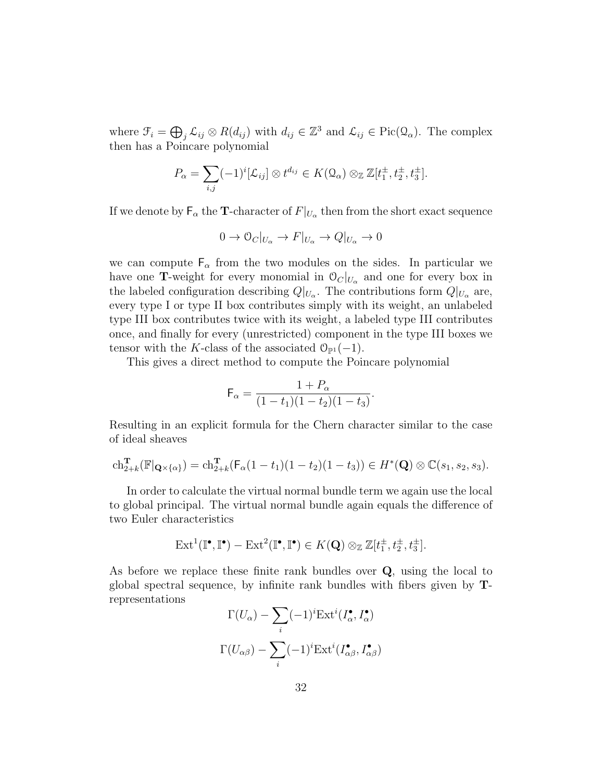where  $\mathcal{F}_i = \bigoplus_j \mathcal{L}_{ij} \otimes R(d_{ij})$  with  $d_{ij} \in \mathbb{Z}^3$  and  $\mathcal{L}_{ij} \in Pic(\Omega_\alpha)$ . The complex then has a Poincare polynomial

$$
P_{\alpha} = \sum_{i,j} (-1)^{i} [\mathcal{L}_{ij}] \otimes t^{d_{ij}} \in K(\Omega_{\alpha}) \otimes_{\mathbb{Z}} \mathbb{Z}[t_1^{\pm}, t_2^{\pm}, t_3^{\pm}].
$$

If we denote by  $\mathsf{F}_\alpha$  the T-character of  $F|_{U_\alpha}$  then from the short exact sequence

$$
0 \to \mathcal{O}_C|_{U_\alpha} \to F|_{U_\alpha} \to Q|_{U_\alpha} \to 0
$$

we can compute  $F_{\alpha}$  from the two modules on the sides. In particular we have one **T**-weight for every monomial in  $\mathcal{O}_C|_{U_\alpha}$  and one for every box in the labeled configuration describing  $Q|_{U_{\alpha}}$ . The contributions form  $Q|_{U_{\alpha}}$  are, every type I or type II box contributes simply with its weight, an unlabeled type III box contributes twice with its weight, a labeled type III contributes once, and finally for every (unrestricted) component in the type III boxes we tensor with the K-class of the associated  $\mathcal{O}_{\mathbb{P}^1}(-1)$ .

This gives a direct method to compute the Poincare polynomial

$$
\mathsf{F}_{\alpha} = \frac{1+P_{\alpha}}{(1-t_1)(1-t_2)(1-t_3)}
$$

.

Resulting in an explicit formula for the Chern character similar to the case of ideal sheaves

$$
ch_{2+k}^{T}(\mathbb{F}|_{\mathbf{Q}\times\{\alpha\}}) = ch_{2+k}^{T}(\mathsf{F}_{\alpha}(1-t_{1})(1-t_{2})(1-t_{3})) \in H^{*}(\mathbf{Q})\otimes \mathbb{C}(s_{1}, s_{2}, s_{3}).
$$

In order to calculate the virtual normal bundle term we again use the local to global principal. The virtual normal bundle again equals the difference of two Euler characteristics

$$
\mathrm{Ext}^1(\mathbb{I}^\bullet,\mathbb{I}^\bullet)-\mathrm{Ext}^2(\mathbb{I}^\bullet,\mathbb{I}^\bullet)\in K(\mathbf{Q})\otimes_{\mathbb{Z}}\mathbb{Z}[t_1^{\pm},t_2^{\pm},t_3^{\pm}].
$$

As before we replace these finite rank bundles over Q, using the local to global spectral sequence, by infinite rank bundles with fibers given by Trepresentations

$$
\Gamma(U_{\alpha}) - \sum_{i} (-1)^{i} \operatorname{Ext}^{i}(I_{\alpha}^{\bullet}, I_{\alpha}^{\bullet})
$$

$$
\Gamma(U_{\alpha\beta}) - \sum_{i} (-1)^{i} \operatorname{Ext}^{i}(I_{\alpha\beta}^{\bullet}, I_{\alpha\beta}^{\bullet})
$$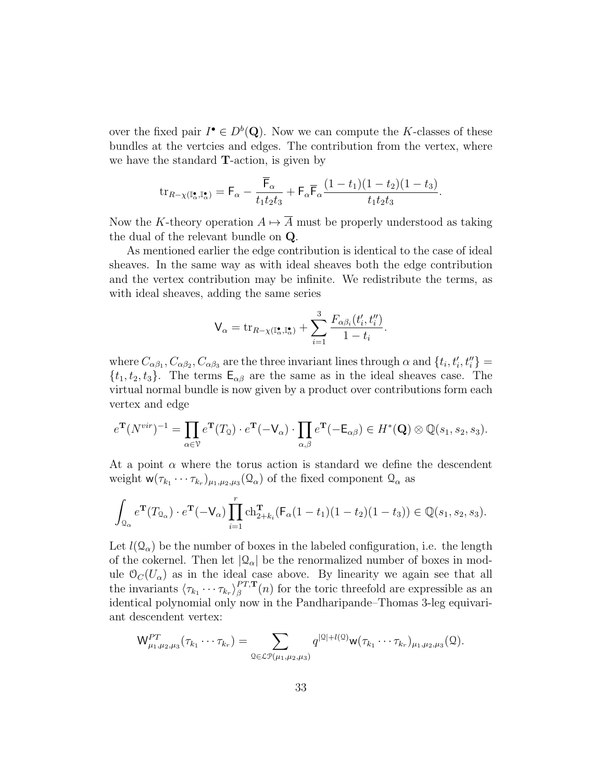over the fixed pair  $I^{\bullet} \in D^b(Q)$ . Now we can compute the K-classes of these bundles at the vertcies and edges. The contribution from the vertex, where we have the standard T-action, is given by

$$
\operatorname{tr}_{R-\chi(\mathbb{I}_{\alpha}^{\bullet},\mathbb{I}_{\alpha}^{\bullet})} = \mathsf{F}_{\alpha} - \frac{\overline{\mathsf{F}}_{\alpha}}{t_1t_2t_3} + \mathsf{F}_{\alpha}\overline{\mathsf{F}}_{\alpha}\frac{(1-t_1)(1-t_2)(1-t_3)}{t_1t_2t_3}.
$$

Now the K-theory operation  $A \mapsto \overline{A}$  must be properly understood as taking the dual of the relevant bundle on Q.

As mentioned earlier the edge contribution is identical to the case of ideal sheaves. In the same way as with ideal sheaves both the edge contribution and the vertex contribution may be infinite. We redistribute the terms, as with ideal sheaves, adding the same series

$$
\mathsf{V}_{\alpha} = \mathrm{tr}_{R-\chi(\mathbb{I}_{\alpha}^{\bullet}, \mathbb{I}_{\alpha}^{\bullet})} + \sum_{i=1}^{3} \frac{F_{\alpha\beta_i}(t_i', t_i'')}{1-t_i}.
$$

where  $C_{\alpha\beta_1}$ ,  $C_{\alpha\beta_2}$ ,  $C_{\alpha\beta_3}$  are the three invariant lines through  $\alpha$  and  $\{t_i, t'_i, t''_i\}$  $\{t_1, t_2, t_3\}$ . The terms  $\mathsf{E}_{\alpha\beta}$  are the same as in the ideal sheaves case. The virtual normal bundle is now given by a product over contributions form each vertex and edge

$$
e^{\mathbf{T}}(N^{vir})^{-1} = \prod_{\alpha \in \mathcal{V}} e^{\mathbf{T}}(T_{\mathfrak{Q}}) \cdot e^{\mathbf{T}}(-\mathsf{V}_{\alpha}) \cdot \prod_{\alpha,\beta} e^{\mathbf{T}}(-\mathsf{E}_{\alpha\beta}) \in H^*(\mathbf{Q}) \otimes \mathbb{Q}(s_1, s_2, s_3).
$$

At a point  $\alpha$  where the torus action is standard we define the descendent weight  $\mathsf{w}(\tau_{k_1}\cdots\tau_{k_r})_{\mu_1,\mu_2,\mu_3}(\mathcal{Q}_{\alpha})$  of the fixed component  $\mathcal{Q}_{\alpha}$  as

$$
\int_{\mathcal{Q}_{\alpha}} e^{\mathbf{T}}(T_{\mathcal{Q}_{\alpha}}) \cdot e^{\mathbf{T}}(-\mathsf{V}_{\alpha}) \prod_{i=1}^{r} \mathrm{ch}_{2+k_i}^{\mathbf{T}}(\mathsf{F}_{\alpha}(1-t_1)(1-t_2)(1-t_3)) \in \mathbb{Q}(s_1, s_2, s_3).
$$

Let  $l(\mathcal{Q}_{\alpha})$  be the number of boxes in the labeled configuration, i.e. the length of the cokernel. Then let  $|Q_{\alpha}|$  be the renormalized number of boxes in module  $\mathcal{O}_C(U_\alpha)$  as in the ideal case above. By linearity we again see that all the invariants  $\langle \tau_{k_1} \cdots \tau_{k_r} \rangle_{\beta}^{PT, \mathbf{T}}$  $\beta^{PI,T}(n)$  for the toric threefold are expressible as an identical polynomial only now in the Pandharipande–Thomas 3-leg equivariant descendent vertex:

$$
\mathsf{W}_{\mu_1,\mu_2,\mu_3}^{PT}(\tau_{k_1}\cdots\tau_{k_r})=\sum_{\mathbf{Q}\in\mathcal{L}\mathcal{P}(\mu_1,\mu_2,\mu_3)}q^{|\mathbf{Q}|+l(\mathbf{Q})}\mathsf{w}(\tau_{k_1}\cdots\tau_{k_r})_{\mu_1,\mu_2,\mu_3}(\mathbf{Q}).
$$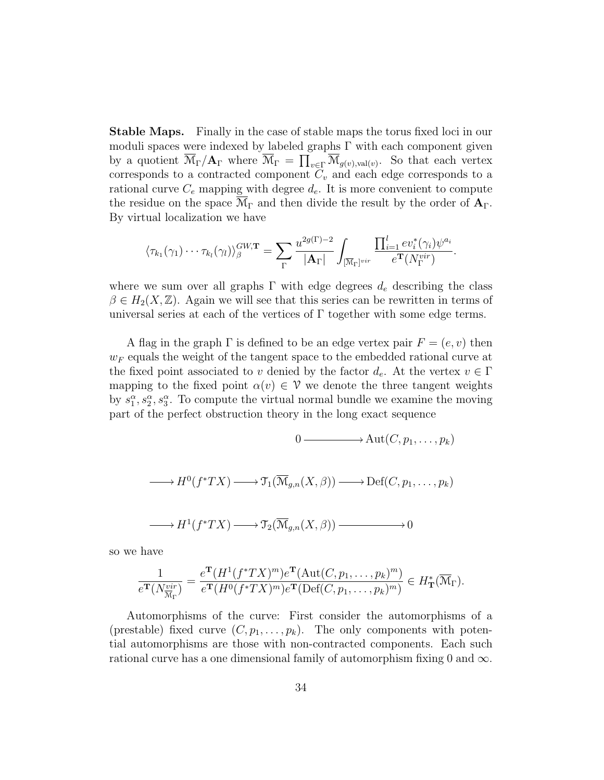Stable Maps. Finally in the case of stable maps the torus fixed loci in our moduli spaces were indexed by labeled graphs  $\Gamma$  with each component given by a quotient  $\overline{\mathcal{M}}_{\Gamma}/\mathbf{A}_{\Gamma}$  where  $\overline{\mathcal{M}}_{\Gamma} = \prod_{v \in \Gamma} \overline{\mathcal{M}}_{g(v),\text{val}(v)}$ . So that each vertex corresponds to a contracted component  $C_v$  and each edge corresponds to a rational curve  $C_e$  mapping with degree  $d_e$ . It is more convenient to compute the residue on the space  $\mathcal{M}_{\Gamma}$  and then divide the result by the order of  $\mathbf{A}_{\Gamma}$ . By virtual localization we have

$$
\langle \tau_{k_1}(\gamma_1) \cdots \tau_{k_l}(\gamma_l) \rangle_{\beta}^{GW, \mathbf{T}} = \sum_{\Gamma} \frac{u^{2g(\Gamma)-2}}{|\mathbf{A}_{\Gamma}|} \int_{\overline{[N_{\Gamma}]}^{vir}} \frac{\prod_{i=1}^l ev_i^*(\gamma_i) \psi^{a_i}}{e^{\mathbf{T}}(N_{\Gamma}^{vir})}.
$$

where we sum over all graphs  $\Gamma$  with edge degrees  $d_e$  describing the class  $\beta \in H_2(X,\mathbb{Z})$ . Again we will see that this series can be rewritten in terms of universal series at each of the vertices of  $\Gamma$  together with some edge terms.

A flag in the graph  $\Gamma$  is defined to be an edge vertex pair  $F = (e, v)$  then  $w_F$  equals the weight of the tangent space to the embedded rational curve at the fixed point associated to v denied by the factor  $d_e$ . At the vertex  $v \in \Gamma$ mapping to the fixed point  $\alpha(v) \in \mathcal{V}$  we denote the three tangent weights by  $s_1^{\alpha}, s_2^{\alpha}, s_3^{\alpha}$ . To compute the virtual normal bundle we examine the moving part of the perfect obstruction theory in the long exact sequence

$$
0 \longrightarrow \text{Aut}(C, p_1, \dots, p_k)
$$
  
\n
$$
\longrightarrow H^0(f^*TX) \longrightarrow \mathfrak{T}_1(\overline{\mathcal{M}}_{g,n}(X, \beta)) \longrightarrow \text{Def}(C, p_1, \dots, p_k)
$$
  
\n
$$
\longrightarrow H^1(f^*TX) \longrightarrow \mathfrak{T}_2(\overline{\mathcal{M}}_{g,n}(X, \beta)) \longrightarrow 0
$$

so we have

$$
\frac{1}{e^{\mathbf{T}}(N_{\overline{\mathcal{M}}_{\Gamma}}^{vir})} = \frac{e^{\mathbf{T}}(H^1(f^*TX)^m)e^{\mathbf{T}}(\mathrm{Aut}(C,p_1,\ldots,p_k)^m)}{e^{\mathbf{T}}(H^0(f^*TX)^m)e^{\mathbf{T}}(\mathrm{Def}(C,p_1,\ldots,p_k)^m)} \in H_{\mathbf{T}}^*(\overline{\mathcal{M}}_{\Gamma}).
$$

Automorphisms of the curve: First consider the automorphisms of a (prestable) fixed curve  $(C, p_1, \ldots, p_k)$ . The only components with potential automorphisms are those with non-contracted components. Each such rational curve has a one dimensional family of automorphism fixing 0 and  $\infty$ .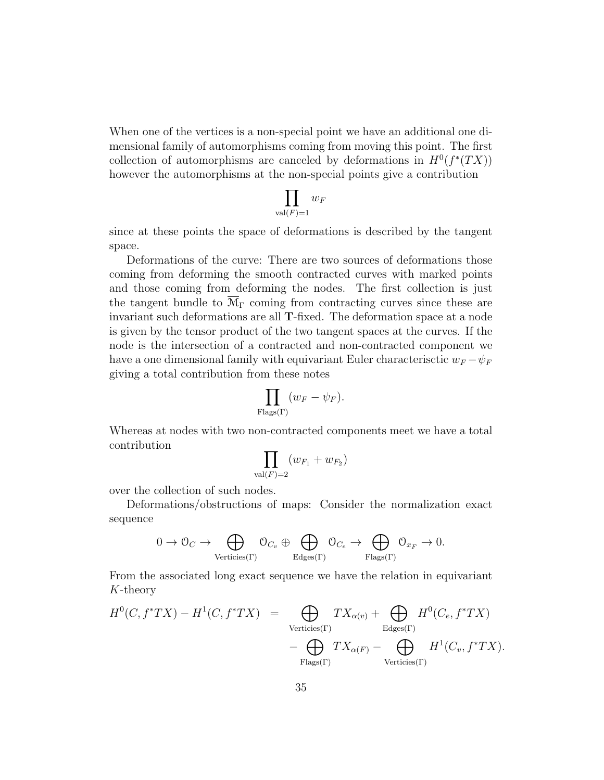When one of the vertices is a non-special point we have an additional one dimensional family of automorphisms coming from moving this point. The first collection of automorphisms are canceled by deformations in  $H^0(f^*(TX))$ however the automorphisms at the non-special points give a contribution

$$
\prod_{\text{val}(F)=1} w_F
$$

since at these points the space of deformations is described by the tangent space.

Deformations of the curve: There are two sources of deformations those coming from deforming the smooth contracted curves with marked points and those coming from deforming the nodes. The first collection is just the tangent bundle to  $\mathcal{M}_{\Gamma}$  coming from contracting curves since these are invariant such deformations are all T-fixed. The deformation space at a node is given by the tensor product of the two tangent spaces at the curves. If the node is the intersection of a contracted and non-contracted component we have a one dimensional family with equivariant Euler characterisctic  $w_F - \psi_F$ giving a total contribution from these notes

$$
\prod_{\text{Flags}(\Gamma)} (w_F - \psi_F).
$$

Whereas at nodes with two non-contracted components meet we have a total contribution

$$
\prod_{\text{val}(F)=2} (w_{F_1}+w_{F_2})
$$

over the collection of such nodes.

Deformations/obstructions of maps: Consider the normalization exact sequence

$$
0 \to \mathcal{O}_C \to \bigoplus_{\text{Vertices}(\Gamma)} \mathcal{O}_{C_v} \oplus \bigoplus_{\text{Edges}(\Gamma)} \mathcal{O}_{C_e} \to \bigoplus_{\text{Flags}(\Gamma)} \mathcal{O}_{x_F} \to 0.
$$

From the associated long exact sequence we have the relation in equivariant K-theory

$$
H^{0}(C, f^{*}TX) - H^{1}(C, f^{*}TX) = \bigoplus_{\text{Vertices}(\Gamma)} TX_{\alpha(v)} + \bigoplus_{\text{Edges}(\Gamma)} H^{0}(C_{e}, f^{*}TX) - \bigoplus_{\text{Flags}(\Gamma)} TX_{\alpha(F)} - \bigoplus_{\text{Vertices}(\Gamma)} H^{1}(C_{v}, f^{*}TX).
$$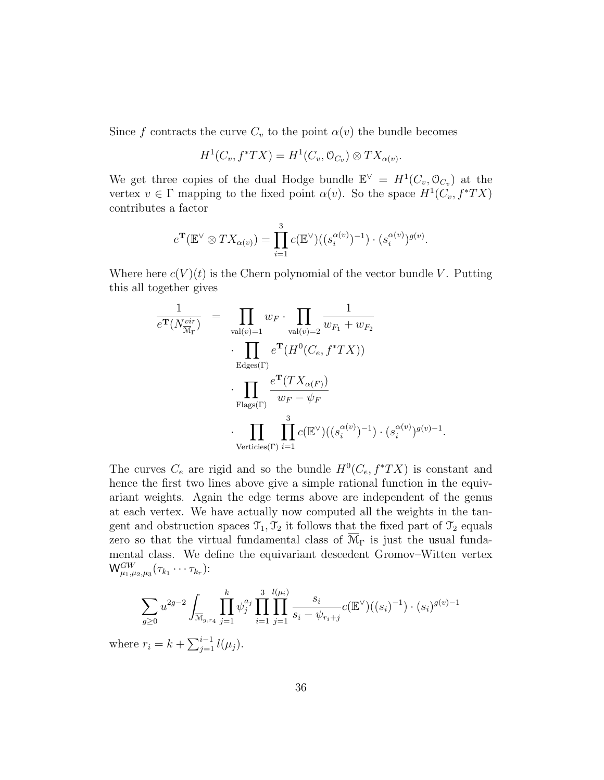Since f contracts the curve  $C_v$  to the point  $\alpha(v)$  the bundle becomes

$$
H^1(C_v, f^*TX) = H^1(C_v, \mathcal{O}_{C_v}) \otimes TX_{\alpha(v)}.
$$

We get three copies of the dual Hodge bundle  $\mathbb{E}^{\vee} = H^1(C_v, \mathcal{O}_{C_v})$  at the vertex  $v \in \Gamma$  mapping to the fixed point  $\alpha(v)$ . So the space  $H^1(C_v, f^*TX)$ contributes a factor

$$
e^{\mathbf{T}}(\mathbb{E}^{\vee} \otimes TX_{\alpha(v)}) = \prod_{i=1}^{3} c(\mathbb{E}^{\vee})((s_i^{\alpha(v)})^{-1}) \cdot (s_i^{\alpha(v)})^{g(v)}.
$$

Where here  $c(V)(t)$  is the Chern polynomial of the vector bundle V. Putting this all together gives

$$
\frac{1}{e^{\mathbf{T}}(N_{\overline{M}_{\Gamma}}^{vir})} = \prod_{\text{val}(v)=1} w_F \cdot \prod_{\text{val}(v)=2} \frac{1}{w_{F_1} + w_{F_2}}
$$
\n
$$
\cdot \prod_{\text{Edges}(\Gamma)} e^{\mathbf{T}}(H^0(C_e, f^*TX))
$$
\n
$$
\cdot \prod_{\text{Flags}(\Gamma)} \frac{e^{\mathbf{T}}(TX_{\alpha(F)})}{w_F - \psi_F}
$$
\n
$$
\cdot \prod_{\text{Vertices}(\Gamma)} \prod_{i=1}^3 c(\mathbb{E}^{\vee})((s_i^{\alpha(v)})^{-1}) \cdot (s_i^{\alpha(v)})^{g(v)-1}
$$

.

The curves  $C_e$  are rigid and so the bundle  $H^0(C_e, f^*TX)$  is constant and hence the first two lines above give a simple rational function in the equivariant weights. Again the edge terms above are independent of the genus at each vertex. We have actually now computed all the weights in the tangent and obstruction spaces  $\mathcal{T}_1, \mathcal{T}_2$  it follows that the fixed part of  $\mathcal{T}_2$  equals zero so that the virtual fundamental class of  $\overline{\mathcal{M}}_{\Gamma}$  is just the usual fundamental class. We define the equivariant descedent Gromov–Witten vertex  $\mathsf{W}^{GW}_{\mu_1,\mu_2,\mu_3}(\tau_{k_1}\cdots \tau_{k_r})$ :

$$
\sum_{g\geq 0} u^{2g-2} \int_{\overline{\mathcal{M}}_{g,r_4}} \prod_{j=1}^k \psi_j^{a_j} \prod_{i=1}^3 \prod_{j=1}^{l(\mu_i)} \frac{s_i}{s_i - \psi_{r_i+j}} c(\mathbb{E}^{\vee})((s_i)^{-1}) \cdot (s_i)^{g(v)-1}
$$
  
or  $r_i = k + \sum_{i=1}^{i-1} l(\mu_i)$ .

where  $r_i = k + \sum_{j=1}^{i-1} l(\mu_j)$ .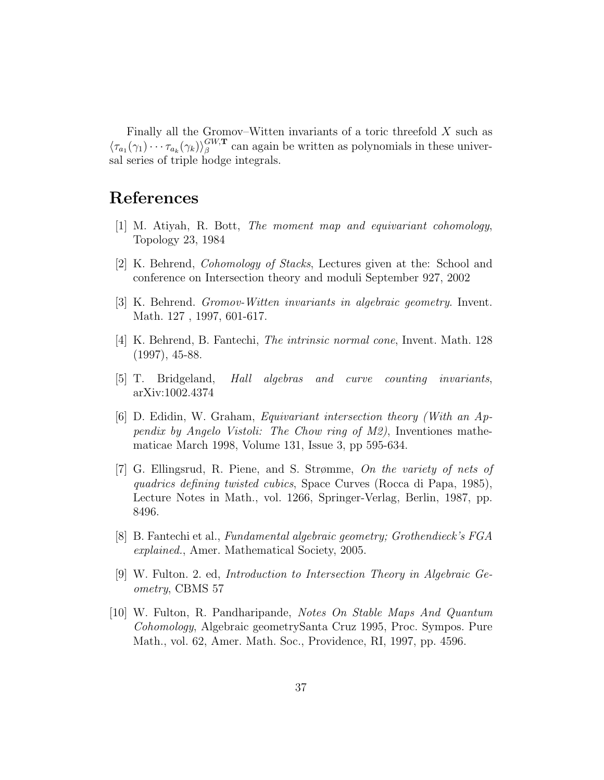Finally all the Gromov–Witten invariants of a toric threefold X such as  $\langle \tau_{a_1}(\gamma_1)\cdots\tau_{a_k}(\gamma_k)\rangle^{GW,\mathbf{T}}_{\beta}$  $\beta^{\mu,T}$  can again be written as polynomials in these universal series of triple hodge integrals.

## References

- [1] M. Atiyah, R. Bott, The moment map and equivariant cohomology, Topology 23, 1984
- [2] K. Behrend, Cohomology of Stacks, Lectures given at the: School and conference on Intersection theory and moduli September 927, 2002
- [3] K. Behrend. Gromov-Witten invariants in algebraic geometry. Invent. Math. 127 , 1997, 601-617.
- [4] K. Behrend, B. Fantechi, The intrinsic normal cone, Invent. Math. 128 (1997), 45-88.
- [5] T. Bridgeland, Hall algebras and curve counting invariants, arXiv:1002.4374
- [6] D. Edidin, W. Graham, Equivariant intersection theory (With an Appendix by Angelo Vistoli: The Chow ring of M2), Inventiones mathematicae March 1998, Volume 131, Issue 3, pp 595-634.
- [7] G. Ellingsrud, R. Piene, and S. Strømme, On the variety of nets of quadrics defining twisted cubics, Space Curves (Rocca di Papa, 1985), Lecture Notes in Math., vol. 1266, Springer-Verlag, Berlin, 1987, pp. 8496.
- [8] B. Fantechi et al., Fundamental algebraic geometry; Grothendieck's FGA explained., Amer. Mathematical Society, 2005.
- [9] W. Fulton. 2. ed, Introduction to Intersection Theory in Algebraic Geometry, CBMS 57
- [10] W. Fulton, R. Pandharipande, Notes On Stable Maps And Quantum Cohomology, Algebraic geometrySanta Cruz 1995, Proc. Sympos. Pure Math., vol. 62, Amer. Math. Soc., Providence, RI, 1997, pp. 4596.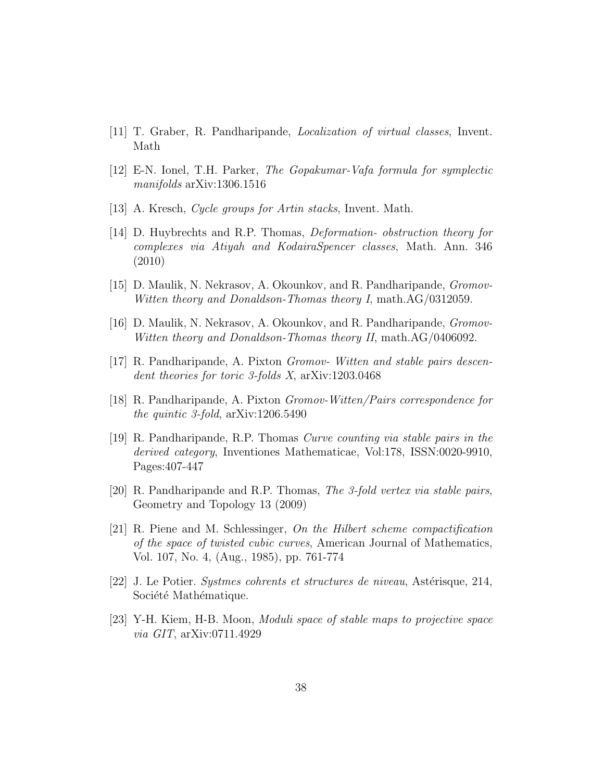- [11] T. Graber, R. Pandharipande, Localization of virtual classes, Invent. Math
- [12] E-N. Ionel, T.H. Parker, The Gopakumar-Vafa formula for symplectic manifolds arXiv:1306.1516
- [13] A. Kresch, *Cycle groups for Artin stacks*, Invent. Math.
- [14] D. Huybrechts and R.P. Thomas, Deformation- obstruction theory for complexes via Atiyah and KodairaSpencer classes, Math. Ann. 346 (2010)
- [15] D. Maulik, N. Nekrasov, A. Okounkov, and R. Pandharipande, Gromov-Witten theory and Donaldson-Thomas theory I, math.AG/0312059.
- [16] D. Maulik, N. Nekrasov, A. Okounkov, and R. Pandharipande, Gromov-Witten theory and Donaldson-Thomas theory II, math.AG/0406092.
- [17] R. Pandharipande, A. Pixton Gromov- Witten and stable pairs descendent theories for toric 3-folds X, arXiv:1203.0468
- [18] R. Pandharipande, A. Pixton Gromov-Witten/Pairs correspondence for the quintic 3-fold, arXiv:1206.5490
- [19] R. Pandharipande, R.P. Thomas Curve counting via stable pairs in the derived category, Inventiones Mathematicae, Vol:178, ISSN:0020-9910, Pages:407-447
- [20] R. Pandharipande and R.P. Thomas, The 3-fold vertex via stable pairs, Geometry and Topology 13 (2009)
- [21] R. Piene and M. Schlessinger, On the Hilbert scheme compactification of the space of twisted cubic curves, American Journal of Mathematics, Vol. 107, No. 4, (Aug., 1985), pp. 761-774
- [22] J. Le Potier. Systmes cohrents et structures de niveau, Astérisque, 214, Société Mathématique.
- [23] Y-H. Kiem, H-B. Moon, Moduli space of stable maps to projective space via GIT, arXiv:0711.4929